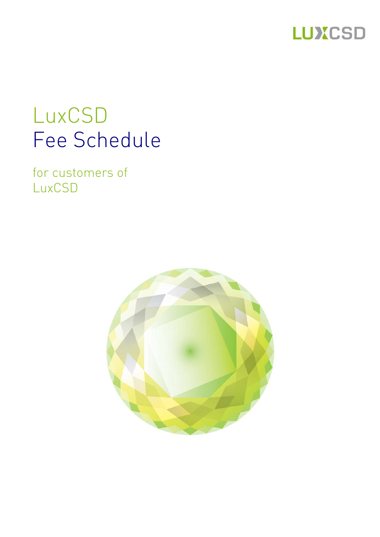

# LuxCSD Fee Schedule

for customers of LuxCSD

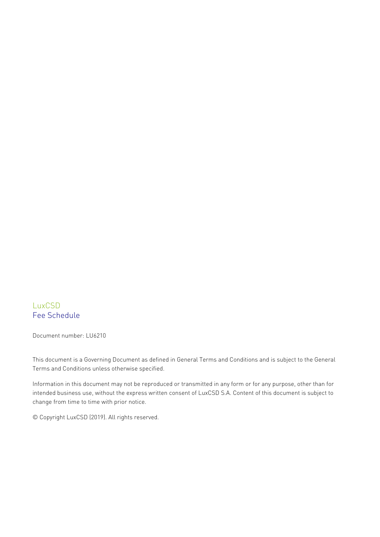### LuxCSD Fee Schedule

Document number: LU6210

This document is a Governing Document as defined in General Terms and Conditions and is subject to the General Terms and Conditions unless otherwise specified.

Information in this document may not be reproduced or transmitted in any form or for any purpose, other than for intended business use, without the express written consent of LuxCSD S.A. Content of this document is subject to change from time to time with prior notice.

© Copyright LuxCSD (2019). All rights reserved.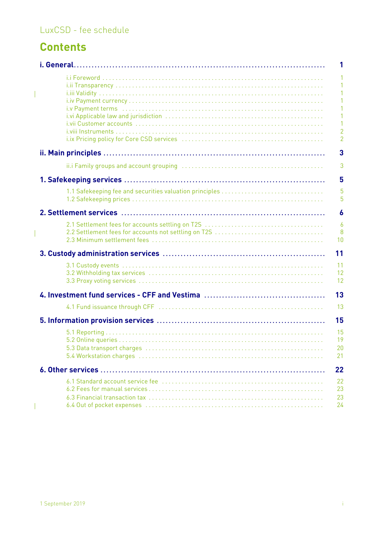# **Contents**

| ii.i Family groups and account grouping (and account account account account account account in Fig. |
|------------------------------------------------------------------------------------------------------|
|                                                                                                      |
|                                                                                                      |
|                                                                                                      |
|                                                                                                      |
| 11                                                                                                   |
| 11<br>12<br>12                                                                                       |
| 13                                                                                                   |
| 13                                                                                                   |
| 15                                                                                                   |
| 15                                                                                                   |
| 22                                                                                                   |
| 22<br>23                                                                                             |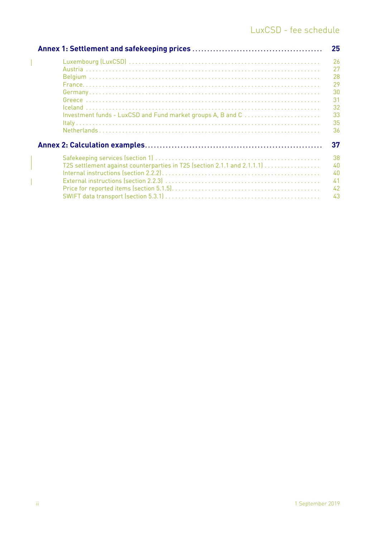|                                                                          | 25                                                       |
|--------------------------------------------------------------------------|----------------------------------------------------------|
| Investment funds - LuxCSD and Fund market groups A, B and C              | 26<br>27<br>28<br>29<br>30<br>31<br>32<br>33<br>35<br>36 |
|                                                                          | 37                                                       |
| T2S settlement against counterparties in T2S (section 2.1.1 and 2.1.1.1) | 38<br>40<br>40<br>41<br>42<br>43                         |

 $\begin{array}{c} \hline \end{array}$ 

 $\overline{\mathbf{I}}$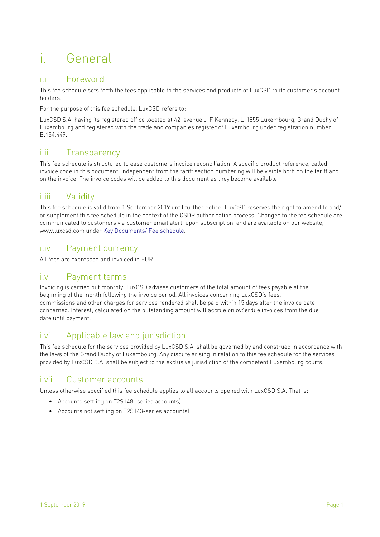# <span id="page-4-0"></span>i. General

## <span id="page-4-1"></span>i.i Foreword

This fee schedule sets forth the fees applicable to the services and products of LuxCSD to its customer's account holders.

For the purpose of this fee schedule, LuxCSD refers to:

LuxCSD S.A. having its registered office located at 42, avenue J-F Kennedy, L-1855 Luxembourg, Grand Duchy of Luxembourg and registered with the trade and companies register of Luxembourg under registration number B.154.449.

## <span id="page-4-2"></span>i.ii Transparency

This fee schedule is structured to ease customers invoice reconciliation. A specific product reference, called invoice code in this document, independent from the tariff section numbering will be visible both on the tariff and on the invoice. The invoice codes will be added to this document as they become available.

## <span id="page-4-3"></span>i.iii Validity

This fee schedule is valid from 1 September 2019 until further notice. LuxCSD reserves the right to amend to and/ or supplement this fee schedule in the context of the CSDR authorisation process. Changes to the fee schedule are communicated to customers via customer email alert, upon subscription, and are available on our website, www.luxcsd.com under [Key Documents/ Fee schedule](http://www.luxcsd.com/luxcsd-en/keydocuments/fee-schedule).

## <span id="page-4-4"></span>i.iv Payment currency

All fees are expressed and invoiced in EUR.

#### <span id="page-4-5"></span>i.v Payment terms

Invoicing is carried out monthly. LuxCSD advises customers of the total amount of fees payable at the beginning of the month following the invoice period. All invoices concerning LuxCSD's fees, commissions and other charges for services rendered shall be paid within 15 days after the invoice date concerned. Interest, calculated on the outstanding amount will accrue on ov6erdue invoices from the due date until payment.

## <span id="page-4-6"></span>i.vi Applicable law and jurisdiction

This fee schedule for the services provided by LuxCSD S.A. shall be governed by and construed in accordance with the laws of the Grand Duchy of Luxembourg. Any dispute arising in relation to this fee schedule for the services provided by LuxCSD S.A. shall be subject to the exclusive jurisdiction of the competent Luxembourg courts.

## <span id="page-4-7"></span>i.vii Customer accounts

Unless otherwise specified this fee schedule applies to all accounts opened with LuxCSD S.A. That is:

- Accounts settling on T2S (48 -series accounts)
- Accounts not settling on T2S (43-series accounts)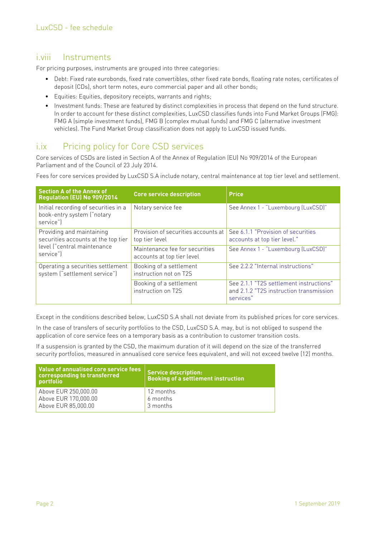## <span id="page-5-0"></span>i.viii Instruments

For pricing purposes, instruments are grouped into three categories:

- Debt: Fixed rate eurobonds, fixed rate convertibles, other fixed rate bonds, floating rate notes, certificates of deposit (CDs), short term notes, euro commercial paper and all other bonds;
- Equities: Equities, depository receipts, warrants and rights;
- Investment funds: These are featured by distinct complexities in process that depend on the fund structure. In order to account for these distinct complexities, LuxCSD classifies funds into Fund Market Groups (FMG): FMG A (simple investment funds), FMG B (complex mutual funds) and FMG C (alternative investment vehicles). The Fund Market Group classification does not apply to LuxCSD issued funds.

## <span id="page-5-1"></span>i.ix Pricing policy for Core CSD services

Core services of CSDs are listed in Section A of the Annex of Regulation (EU) No 909/2014 of the European Parliament and of the Council of 23 July 2014.

Fees for core services provided by LuxCSD S.A include notary, central maintenance at top tier level and settlement.

| <b>Section A of the Annex of</b><br>Regulation (EU) No 909/2014                 | <b>Core service description</b>                              | <b>Price</b>                                                                                    |  |
|---------------------------------------------------------------------------------|--------------------------------------------------------------|-------------------------------------------------------------------------------------------------|--|
| Initial recording of securities in a<br>book-entry system ("notary<br>service") | Notary service fee                                           | See Annex 1 - "Luxembourg (LuxCSD)"                                                             |  |
| Providing and maintaining<br>securities accounts at the top tier                | Provision of securities accounts at<br>top tier level        | See 6.1.1 "Provision of securities<br>accounts at top tier level."                              |  |
| level ("central maintenance<br>service"                                         | Maintenance fee for securities<br>accounts at top tier level | See Annex 1 - "Luxembourg (LuxCSD)"                                                             |  |
| Operating a securities settlement<br>system ("settlement service")              | Booking of a settlement<br>instruction not on T2S            | See 2.2.2 "Internal instructions"                                                               |  |
|                                                                                 | Booking of a settlement<br>instruction on T2S                | See 2.1.1 "T2S settlement instructions"<br>and 2.1.2 "T2S instruction transmission<br>services" |  |

Except in the conditions described below, LuxCSD S.A shall not deviate from its published prices for core services.

In the case of transfers of security portfolios to the CSD, LuxCSD S.A. may, but is not obliged to suspend the application of core service fees on a temporary basis as a contribution to customer transition costs.

If a suspension is granted by the CSD, the maximum duration of it will depend on the size of the transferred security portfolios, measured in annualised core service fees equivalent, and will not exceed twelve [12] months.

| Value of annualised core service fees<br>corresponding to transferred<br><b>portfolio</b> | <b>Service description:</b><br><b>Booking of a settlement instruction</b> |
|-------------------------------------------------------------------------------------------|---------------------------------------------------------------------------|
| Above EUR 250,000.00<br>Above EUR 170,000.00                                              | 12 months<br>6 months                                                     |
| Above EUR 85,000.00                                                                       | 3 months                                                                  |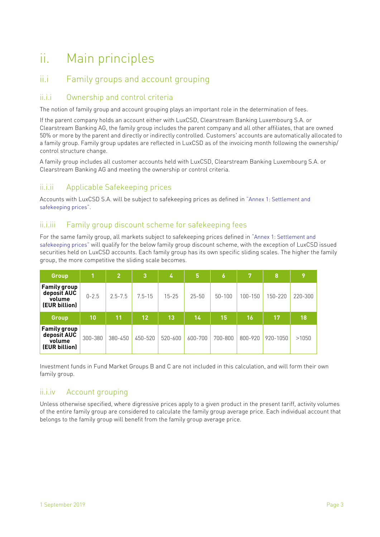# <span id="page-6-0"></span>ii. Main principles

## <span id="page-6-1"></span>ii.i Family groups and account grouping

#### ii.i.i Ownership and control criteria

The notion of family group and account grouping plays an important role in the determination of fees.

If the parent company holds an account either with LuxCSD, Clearstream Banking Luxembourg S.A. or Clearstream Banking AG, the family group includes the parent company and all other affiliates, that are owned 50% or more by the parent and directly or indirectly controlled. Customers' accounts are automatically allocated to a family group. Family group updates are reflected in LuxCSD as of the invoicing month following the ownership/ control structure change.

A family group includes all customer accounts held with LuxCSD, Clearstream Banking Luxembourg S.A. or Clearstream Banking AG and meeting the ownership or control criteria.

### ii.i.ii Applicable Safekeeping prices

Accounts with LuxCSD S.A. will be subject to safekeeping prices as defined in ["Annex 1: Settlement and](#page-28-1)  [safekeeping prices"](#page-28-1).

#### ii.i.iii Family group discount scheme for safekeeping fees

For the same family group, all markets subject to safekeeping prices defined in ["Annex 1: Settlement and](#page-28-1)  [safekeeping prices"](#page-28-1) will qualify for the below family group discount scheme, with the exception of LuxCSD issued securities held on LuxCSD accounts. Each family group has its own specific sliding scales. The higher the family group, the more competitive the sliding scale becomes.

| Group                                                         |           | $\overline{2}$ | 3                 | 4         | 5         | 6          | 7       | 8        |         |
|---------------------------------------------------------------|-----------|----------------|-------------------|-----------|-----------|------------|---------|----------|---------|
| <b>Family group</b><br>deposit AUC<br>volume<br>(EUR billion) | $0 - 2.5$ | $2.5 - 7.5$    | $7.5 - 15$        | $15 - 25$ | $25 - 50$ | $50 - 100$ | 100-150 | 150-220  | 220-300 |
| Group                                                         | 10        | 11             | $12 \overline{ }$ | 13        | 14        | 15         | 16      | 17       | 18      |
| <b>Family group</b><br>deposit AUC<br>volume<br>(EUR billion) | 300-380   | 380-450        | 450-520           | 520-600   | 600-700   | 700-800    | 800-920 | 920-1050 | >1050   |

Investment funds in Fund Market Groups B and C are not included in this calculation, and will form their own family group.

#### ii.i.iv Account grouping

Unless otherwise specified, where digressive prices apply to a given product in the present tariff, activity volumes of the entire family group are considered to calculate the family group average price. Each individual account that belongs to the family group will benefit from the family group average price.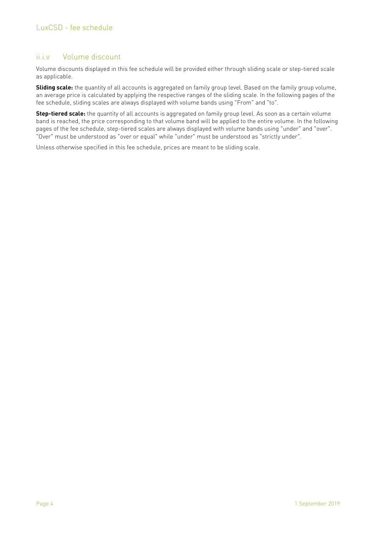## ii.i.v Volume discount

Volume discounts displayed in this fee schedule will be provided either through sliding scale or step-tiered scale as applicable.

**Sliding scale:** the quantity of all accounts is aggregated on family group level. Based on the family group volume, an average price is calculated by applying the respective ranges of the sliding scale. In the following pages of the fee schedule, sliding scales are always displayed with volume bands using "From" and "to".

**Step-tiered scale:** the quantity of all accounts is aggregated on family group level. As soon as a certain volume band is reached, the price corresponding to that volume band will be applied to the entire volume. In the following pages of the fee schedule, step-tiered scales are always displayed with volume bands using "under" and "over". "Over" must be understood as "over or equal" while "under" must be understood as "strictly under".

Unless otherwise specified in this fee schedule, prices are meant to be sliding scale.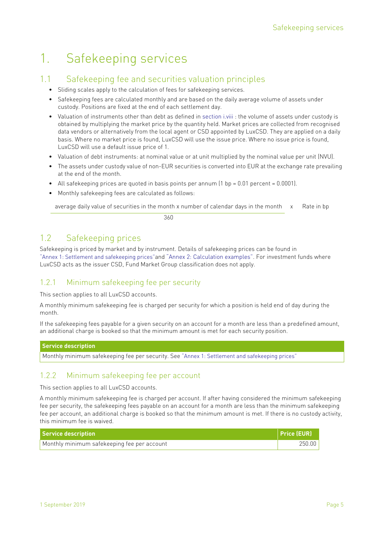# <span id="page-8-0"></span>1. Safekeeping services

## <span id="page-8-1"></span>1.1 Safekeeping fee and securities valuation principles

- Sliding scales apply to the calculation of fees for safekeeping services.
- Safekeeping fees are calculated monthly and are based on the daily average volume of assets under custody. Positions are fixed at the end of each settlement day.
- Valuation of instruments other than debt as defined in [section i.viii](#page-5-0) : the volume of assets under custody is obtained by multiplying the market price by the quantity held. Market prices are collected from recognised data vendors or alternatively from the local agent or CSD appointed by LuxCSD. They are applied on a daily basis. Where no market price is found, LuxCSD will use the issue price. Where no issue price is found, LuxCSD will use a default issue price of 1.
- Valuation of debt instruments: at nominal value or at unit multiplied by the nominal value per unit (NVU).
- The assets under custody value of non-EUR securities is converted into EUR at the exchange rate prevailing at the end of the month.
- All safekeeping prices are quoted in basis points per annum (1 bp = 0.01 percent = 0.0001).
- Monthly safekeeping fees are calculated as follows:

average daily value of securities in the month x number of calendar days in the month x Rate in bp

360

## <span id="page-8-2"></span>1.2 Safekeeping prices

Safekeeping is priced by market and by instrument. Details of safekeeping prices can be found in ["Annex 1: Settlement and safekeeping prices"a](#page-28-1)nd ["Annex 2: Calculation examples"](#page-40-1). For investment funds where LuxCSD acts as the issuer CSD, Fund Market Group classification does not apply.

## 1.2.1 Minimum safekeeping fee per security

This section applies to all LuxCSD accounts.

A monthly minimum safekeeping fee is charged per security for which a position is held end of day during the month.

If the safekeeping fees payable for a given security on an account for a month are less than a predefined amount, an additional charge is booked so that the minimum amount is met for each security position.

#### **Service description**

Monthly minimum safekeeping fee per security. See ["Annex 1: Settlement and safekeeping prices"](#page-28-1)

#### 1.2.2 Minimum safekeeping fee per account

This section applies to all LuxCSD accounts.

A monthly minimum safekeeping fee is charged per account. If after having considered the minimum safekeeping fee per security, the safekeeping fees payable on an account for a month are less than the minimum safekeeping fee per account, an additional charge is booked so that the minimum amount is met. If there is no custody activity, this minimum fee is waived.

| l Service description I                     | /   Price (EUR) <i> </i> |
|---------------------------------------------|--------------------------|
| Monthly minimum safekeeping fee per account | 250.00                   |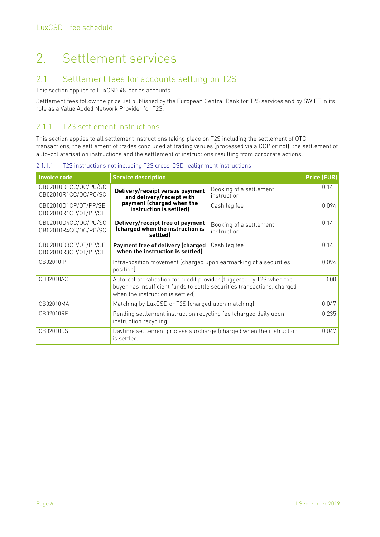# <span id="page-9-4"></span><span id="page-9-0"></span>2. Settlement services

## <span id="page-9-3"></span><span id="page-9-1"></span>2.1 Settlement fees for accounts settling on T2S

This section applies to LuxCSD 48-series accounts.

Settlement fees follow the price list published by the European Central Bank for T2S services and by SWIFT in its role as a Value Added Network Provider for T2S.

### <span id="page-9-2"></span>2.1.1 T2S settlement instructions

This section applies to all settlement instructions taking place on T2S including the settlement of OTC transactions, the settlement of trades concluded at trading venues (processed via a CCP or not), the settlement of auto-collaterisation instructions and the settlement of instructions resulting from corporate actions.

2.1.1.1 T2S instructions not including T2S cross-CSD realignment instructions

| <b>Invoice code</b>                          | <b>Service description</b>                                                                                                                                                           |                                        | <b>Price (EUR)</b> |  |  |
|----------------------------------------------|--------------------------------------------------------------------------------------------------------------------------------------------------------------------------------------|----------------------------------------|--------------------|--|--|
| CB02010D1CC/OC/PC/SC<br>CB02010R1CC/OC/PC/SC | Delivery/receipt versus payment<br>and delivery/receipt with                                                                                                                         | Booking of a settlement<br>instruction | 0.141              |  |  |
| CB02010D1CP/OT/PP/SE<br>CB02010R1CP/OT/PP/SE | payment (charged when the<br>instruction is settled)                                                                                                                                 | Cash leg fee                           | 0.094              |  |  |
| CB02010D4CC/OC/PC/SC<br>CB02010R4CC/OC/PC/SC | Delivery/receipt free of payment<br>(charged when the instruction is<br>settled)                                                                                                     | Booking of a settlement<br>instruction | 0.141              |  |  |
| CB02010D3CP/OT/PP/SE<br>CB02010R3CP/OT/PP/SE | Payment free of delivery (charged<br>when the instruction is settled)                                                                                                                | Cash leg fee                           | 0.141              |  |  |
| CB02010IP                                    | Intra-position movement (charged upon earmarking of a securities<br>position)                                                                                                        |                                        |                    |  |  |
| CB02010AC                                    | Auto-collateralisation for credit provider (triggered by T2S when the<br>buyer has insufficient funds to settle securities transactions, charged<br>when the instruction is settled) |                                        |                    |  |  |
| CB02010MA                                    | Matching by LuxCSD or T2S (charged upon matching)                                                                                                                                    | 0.047                                  |                    |  |  |
| CB02010RF                                    | Pending settlement instruction recycling fee (charged daily upon<br>instruction recycling)                                                                                           | 0.235                                  |                    |  |  |
| CB02010DS                                    | Daytime settlement process surcharge (charged when the instruction<br>is settled)                                                                                                    |                                        |                    |  |  |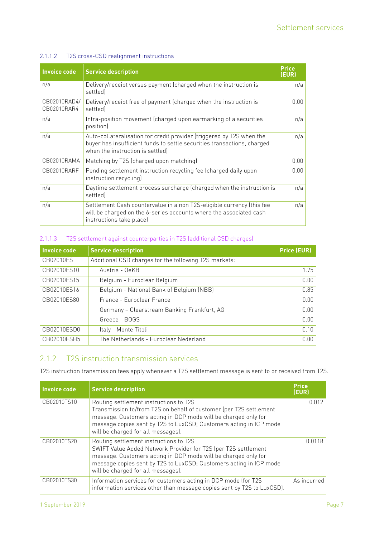#### 2.1.1.2 T2S cross-CSD realignment instructions

| <b>Invoice code</b>         | <b>Service description</b>                                                                                                                                                           | <b>Price</b><br>(EUR) |
|-----------------------------|--------------------------------------------------------------------------------------------------------------------------------------------------------------------------------------|-----------------------|
| n/a                         | Delivery/receipt versus payment (charged when the instruction is<br>settled                                                                                                          | n/a                   |
| CB02010RAD4/<br>CB02010RAR4 | Delivery/receipt free of payment (charged when the instruction is<br>settled                                                                                                         | 0.00                  |
| n/a                         | Intra-position movement (charged upon earmarking of a securities<br>position)                                                                                                        | n/a                   |
| n/a                         | Auto-collateralisation for credit provider (triggered by T2S when the<br>buyer has insufficient funds to settle securities transactions, charged<br>when the instruction is settled) | n/a                   |
| CB02010RAMA                 | Matching by T2S (charged upon matching)                                                                                                                                              | 0.00                  |
| CB02010RARF                 | Pending settlement instruction recycling fee (charged daily upon<br>instruction recycling)                                                                                           | 0.00                  |
| n/a                         | Daytime settlement process surcharge (charged when the instruction is<br>settled                                                                                                     | n/a                   |
| n/a                         | Settlement Cash countervalue in a non T2S-eligible currency (this fee<br>will be charged on the 6-series accounts where the associated cash<br>instructions take place)              | n/a                   |

#### 2.1.1.3 T2S settlement against counterparties in T2S (additional CSD charges)

| <b>Invoice code</b> | <b>Service description</b>                            | <b>Price (EUR)</b> |
|---------------------|-------------------------------------------------------|--------------------|
| CB02010ES           | Additional CSD charges for the following T2S markets: |                    |
| CB02010ES10         | Austria - OeKB                                        | 1.75               |
| CB02010ES15         | Belgium - Euroclear Belgium                           | 0.00               |
| CB02010ES16         | Belgium - National Bank of Belgium (NBB)              | 0.85               |
| CB02010ES80         | France - Euroclear France                             | 0.00               |
|                     | Germany - Clearstream Banking Frankfurt, AG           | 0.00               |
|                     | Greece - BOGS                                         | 0.00               |
| CB02010ESD0         | Italy - Monte Titoli                                  | 0.10               |
| CB02010ESH5         | The Netherlands - Euroclear Nederland                 | 0.00               |

#### <span id="page-10-0"></span>2.1.2 T2S instruction transmission services

T2S instruction transmission fees apply whenever a T2S settlement message is sent to or received from T2S.

| Invoice code | <b>Service description</b>                                                                                                                                                                                                                                                                 | <b>Price</b><br>(EUR) |
|--------------|--------------------------------------------------------------------------------------------------------------------------------------------------------------------------------------------------------------------------------------------------------------------------------------------|-----------------------|
| CB02010TS10  | Routing settlement instructions to T2S<br>Transmission to/from T2S on behalf of customer (per T2S settlement<br>message. Customers acting in DCP mode will be charged only for<br>message copies sent by T2S to LuxCSD; Customers acting in ICP mode<br>will be charged for all messages). | 0.012                 |
| CB02010TS20  | Routing settlement instructions to T2S<br>SWIFT Value Added Network Provider for T2S (per T2S settlement<br>message. Customers acting in DCP mode will be charged only for<br>message copies sent by T2S to LuxCSD; Customers acting in ICP mode<br>will be charged for all messages).     | 0.0118                |
| CB02010TS30  | Information services for customers acting in DCP mode (for T2S<br>information services other than message copies sent by T2S to LuxCSD).                                                                                                                                                   | As incurred           |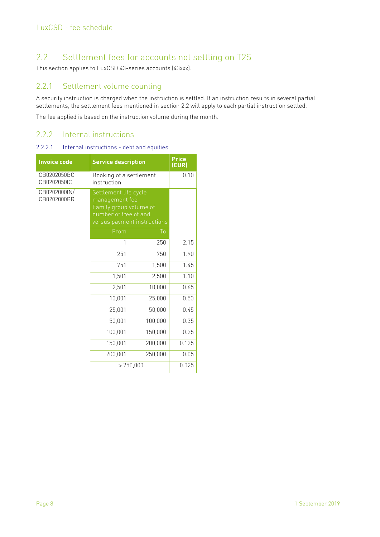## <span id="page-11-0"></span>2.2 Settlement fees for accounts not settling on T2S

This section applies to LuxCSD 43-series accounts (43xxx).

#### 2.2.1 Settlement volume counting

A security instruction is charged when the instruction is settled. If an instruction results in several partial settlements, the settlement fees mentioned in section 2.2 will apply to each partial instruction settled.

The fee applied is based on the instruction volume during the month.

#### <span id="page-11-1"></span>2.2.2 Internal instructions

#### <span id="page-11-2"></span>2.2.2.1 Internal instructions - debt and equities

| <b>Invoice code</b>         | <b>Service description</b>                                                                                                | <b>Price</b><br>(EUR) |      |  |  |
|-----------------------------|---------------------------------------------------------------------------------------------------------------------------|-----------------------|------|--|--|
| CB0202050BC<br>CB0202050IC  | Booking of a settlement<br>instruction                                                                                    |                       | 0.10 |  |  |
| CB0202000IN/<br>CB0202000BR | Settlement life cycle<br>management fee<br>Family group volume of<br>number of free of and<br>versus payment instructions |                       |      |  |  |
|                             | From                                                                                                                      | To                    |      |  |  |
|                             | 1                                                                                                                         | 2.15                  |      |  |  |
|                             | 251<br>750                                                                                                                |                       | 1.90 |  |  |
|                             | 751<br>1,500                                                                                                              |                       | 1.45 |  |  |
|                             | 1,501<br>2,500                                                                                                            |                       | 1.10 |  |  |
|                             | 2,501<br>10,000                                                                                                           |                       | 0.65 |  |  |
|                             | 10,001                                                                                                                    | 25,000                | 0.50 |  |  |
|                             | 25,001                                                                                                                    | 50,000                | 0.45 |  |  |
|                             | 50,001                                                                                                                    | 100,000               | 0.35 |  |  |
|                             | 100,001                                                                                                                   | 0.25                  |      |  |  |
|                             | 150,001                                                                                                                   | 0.125                 |      |  |  |
|                             | 200,001                                                                                                                   | 250,000               | 0.05 |  |  |
|                             | > 250,000                                                                                                                 |                       |      |  |  |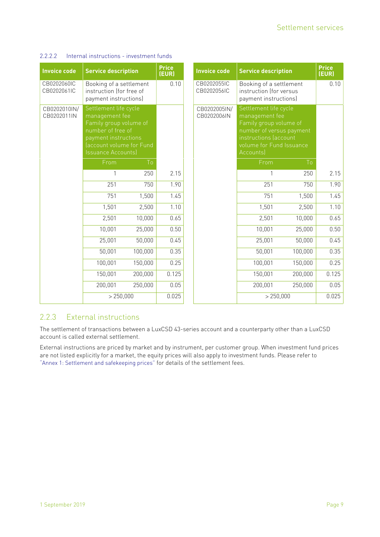| <b>Invoice code</b>         | <b>Service description</b>                                                                                                                                              |         | <b>Price</b><br>(EUR) | <b>Invoice code</b>         | <b>Service description</b>                                                                                                                                      |         | <b>Price</b><br>(EUR) |
|-----------------------------|-------------------------------------------------------------------------------------------------------------------------------------------------------------------------|---------|-----------------------|-----------------------------|-----------------------------------------------------------------------------------------------------------------------------------------------------------------|---------|-----------------------|
| CB0202060IC<br>CB0202061IC  | Booking of a settlement<br>instruction (for free of<br>payment instructions)                                                                                            |         | 0.10                  | CB0202055IC<br>CB0202056IC  | Booking of a settlement<br>instruction (for versus<br>payment instructions)                                                                                     |         | 0.10                  |
| CB0202010IN/<br>CB0202011IN | Settlement life cycle<br>management fee<br>Family group volume of<br>number of free of<br>payment instructions<br>(account volume for Fund<br><b>Issuance Accounts)</b> |         |                       | CB0202005IN/<br>CB0202006IN | Settlement life cycle<br>management fee<br>Family group volume of<br>number of versus payment<br>instructions (account<br>volume for Fund Issuance<br>Accounts) |         |                       |
|                             | From                                                                                                                                                                    | To      |                       |                             | From                                                                                                                                                            | To      |                       |
|                             | 1                                                                                                                                                                       | 250     | 2.15                  |                             | 1                                                                                                                                                               | 250     | 2.15                  |
|                             | 251                                                                                                                                                                     | 750     | 1.90                  |                             | 251                                                                                                                                                             | 750     | 1.90                  |
|                             | 751                                                                                                                                                                     | 1,500   | 1.45                  |                             | 751                                                                                                                                                             | 1,500   | 1.45                  |
|                             | 1,501                                                                                                                                                                   | 2,500   | 1.10                  |                             | 1,501                                                                                                                                                           | 2,500   | 1.10                  |
|                             | 2,501                                                                                                                                                                   | 10,000  | 0.65                  |                             | 2,501                                                                                                                                                           | 10,000  | 0.65                  |
|                             | 10,001                                                                                                                                                                  | 25,000  | 0.50                  |                             | 10,001                                                                                                                                                          | 25,000  | 0.50                  |
|                             | 25,001                                                                                                                                                                  | 50,000  | 0.45                  |                             | 25,001                                                                                                                                                          | 50,000  | 0.45                  |
|                             | 50,001                                                                                                                                                                  | 100,000 | 0.35                  |                             | 50,001                                                                                                                                                          | 100,000 | 0.35                  |
|                             | 100,001                                                                                                                                                                 | 150,000 | 0.25                  |                             | 100,001                                                                                                                                                         | 150,000 | 0.25                  |
|                             | 150,001                                                                                                                                                                 | 200,000 | 0.125                 |                             | 150,001                                                                                                                                                         | 200,000 | 0.125                 |
|                             | 200,001                                                                                                                                                                 | 250,000 | 0.05                  |                             | 200,001                                                                                                                                                         | 250,000 | 0.05                  |
|                             | > 250,000                                                                                                                                                               |         | 0.025                 |                             | > 250,000                                                                                                                                                       |         | 0.025                 |

#### <span id="page-12-0"></span>2.2.2.2 Internal instructions - investment funds

## 2.2.3 External instructions

The settlement of transactions between a LuxCSD 43-series account and a counterparty other than a LuxCSD account is called external settlement.

External instructions are priced by market and by instrument, per customer group. When investment fund prices are not listed explicitly for a market, the equity prices will also apply to investment funds. Please refer to ["Annex 1: Settlement and safekeeping prices"](#page-28-1) for details of the settlement fees.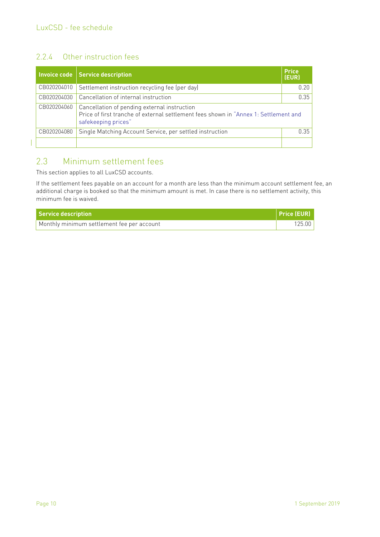$\overline{\phantom{a}}$ 

### 2.2.4 Other instruction fees

| Invoice code | <b>Service description</b>                                                                                                                                  | <b>Price</b><br>(EUR) |
|--------------|-------------------------------------------------------------------------------------------------------------------------------------------------------------|-----------------------|
| CB020204010  | Settlement instruction recycling fee (per day)                                                                                                              | 0.20                  |
| CB020204030  | Cancellation of internal instruction                                                                                                                        | 0.35                  |
| CB020204060  | Cancellation of pending external instruction<br>Price of first tranche of external settlement fees shown in "Annex 1: Settlement and<br>safekeeping prices" |                       |
| CB020204080  | Single Matching Account Service, per settled instruction                                                                                                    | በ 35                  |
|              |                                                                                                                                                             |                       |

## <span id="page-13-0"></span>2.3 Minimum settlement fees

This section applies to all LuxCSD accounts.

If the settlement fees payable on an account for a month are less than the minimum account settlement fee, an additional charge is booked so that the minimum amount is met. In case there is no settlement activity, this minimum fee is waived.

| Service description                        | <b>Price (EUR)</b> |
|--------------------------------------------|--------------------|
| Monthly minimum settlement fee per account | 125.00             |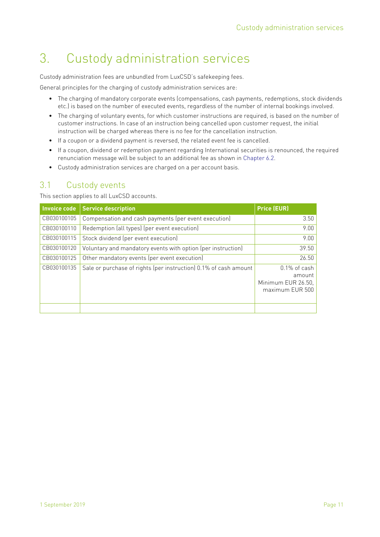# <span id="page-14-0"></span>3. Custody administration services

Custody administration fees are unbundled from LuxCSD's safekeeping fees.

General principles for the charging of custody administration services are:

- The charging of mandatory corporate events (compensations, cash payments, redemptions, stock dividends etc.) is based on the number of executed events, regardless of the number of internal bookings involved.
- The charging of voluntary events, for which customer instructions are required, is based on the number of customer instructions. In case of an instruction being cancelled upon customer request, the initial instruction will be charged whereas there is no fee for the cancellation instruction.
- If a coupon or a dividend payment is reversed, the related event fee is cancelled.
- If a coupon, dividend or redemption payment regarding International securities is renounced, the required renunciation message will be subject to an additional fee as shown in [Chapter 6.2](#page-26-0).
- Custody administration services are charged on a per account basis.

## <span id="page-14-1"></span>3.1 Custody events

This section applies to all LuxCSD accounts.

| <b>Invoice code</b> | <b>Service description</b>                                       | <b>Price (EUR)</b>                                                |
|---------------------|------------------------------------------------------------------|-------------------------------------------------------------------|
| CB030100105         | Compensation and cash payments (per event execution)             | 3.50                                                              |
| CB030100110         | Redemption (all types) (per event execution)                     | 9.00                                                              |
| CB030100115         | Stock dividend (per event execution)                             | 9.00                                                              |
| CB030100120         | Voluntary and mandatory events with option (per instruction)     | 39.50                                                             |
| CB030100125         | Other mandatory events (per event execution)                     | 26.50                                                             |
| CB030100135         | Sale or purchase of rights (per instruction) 0.1% of cash amount | $0.1\%$ of cash<br>amount<br>Minimum EUR 26.50<br>maximum EUR 500 |
|                     |                                                                  |                                                                   |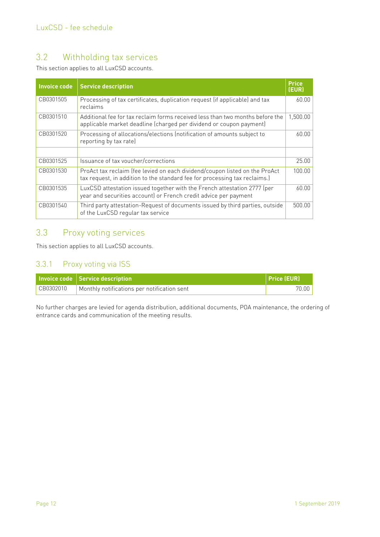## <span id="page-15-0"></span>3.2 Withholding tax services

This section applies to all LuxCSD accounts.

| <b>Invoice code</b> | <b>Service description</b>                                                                                                                                | <b>Price</b><br>(EUR) |
|---------------------|-----------------------------------------------------------------------------------------------------------------------------------------------------------|-----------------------|
| CB0301505           | Processing of tax certificates, duplication request (if applicable) and tax<br>reclaims                                                                   | 60.00                 |
| CB0301510           | Additional fee for tax reclaim forms received less than two months before the<br>applicable market deadline (charged per dividend or coupon payment)      | 1,500.00              |
| CB0301520           | Processing of allocations/elections (notification of amounts subject to<br>reporting by tax rate)                                                         | 60.00                 |
|                     |                                                                                                                                                           |                       |
| CB0301525           | Issuance of tax voucher/corrections                                                                                                                       | 25.00                 |
| CB0301530           | ProAct tax reclaim (fee levied on each dividend/coupon listed on the ProAct<br>tax request, in addition to the standard fee for processing tax reclaims.) | 100.00                |
| CB0301535           | LuxCSD attestation issued together with the French attestation 2777 (per<br>year and securities account) or French credit advice per payment              | 60.00                 |
| CB0301540           | Third party attestation-Request of documents issued by third parties, outside<br>of the LuxCSD regular tax service                                        | 500.00                |

## <span id="page-15-1"></span>3.3 Proxy voting services

This section applies to all LuxCSD accounts.

#### 3.3.1 Proxy voting via ISS

|           | $\blacksquare$ Invoice code $\, \lhd$ Service description $\,$ | <b>Price (EUR)</b> |
|-----------|----------------------------------------------------------------|--------------------|
| CB0302010 | Monthly notifications per notification sent                    | 70.00              |

No further charges are levied for agenda distribution, additional documents, POA maintenance, the ordering of entrance cards and communication of the meeting results.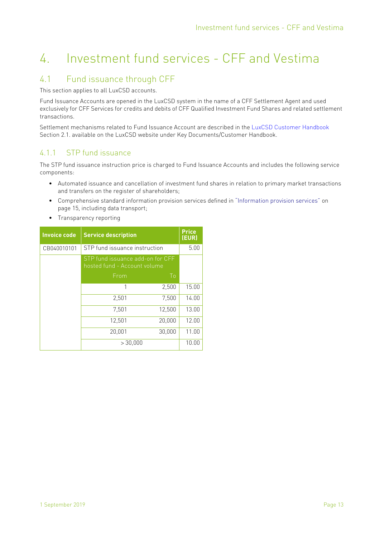# <span id="page-16-0"></span>4. Investment fund services - CFF and Vestima

## <span id="page-16-1"></span>4.1 Fund issuance through CFF

This section applies to all LuxCSD accounts.

Fund Issuance Accounts are opened in the LuxCSD system in the name of a CFF Settlement Agent and used exclusively for CFF Services for credits and debits of CFF Qualified Investment Fund Shares and related settlement transactions.

Settlement mechanisms related to Fund Issuance Account are described in the [LuxCSD Customer Handbook](http://www.luxcsd.com/luxcsd-en/keydocuments/customer-handbook) Section 2.1. available on the LuxCSD website under Key Documents/Customer Handbook.

### 4.1.1 STP fund issuance

The STP fund issuance instruction price is charged to Fund Issuance Accounts and includes the following service components:

- Automated issuance and cancellation of investment fund shares in relation to primary market transactions and transfers on the register of shareholders;
- Comprehensive standard information provision services defined in ["Information provision services" on](#page-18-0)  [page 15](#page-18-0), including data transport;
- Transparency reporting

| <b>Invoice code</b> | <b>Service description</b>                                       |        | <b>Price</b><br>(EUR) |
|---------------------|------------------------------------------------------------------|--------|-----------------------|
| CB040010101         | STP fund issuance instruction                                    |        | 5.00                  |
|                     | STP fund issuance add-on for CFF<br>hosted fund - Account volume |        |                       |
|                     | From                                                             | To     |                       |
|                     | 1                                                                | 2,500  | 15.00                 |
|                     | 2,501                                                            | 7,500  | 14.00                 |
|                     | 7,501                                                            | 12,500 | 13.00                 |
|                     | 12,501                                                           | 20,000 | 12.00                 |
|                     | 20,001                                                           | 30,000 | 11.00                 |
|                     | >30.000                                                          |        | 10.00                 |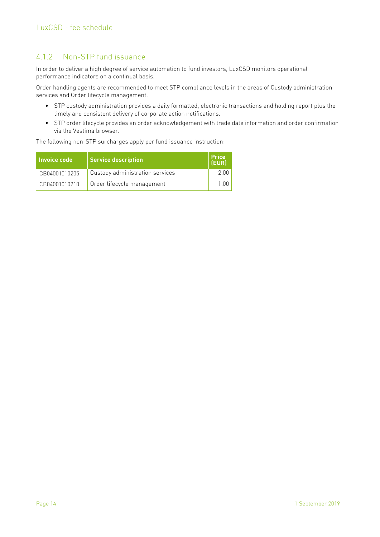## 4.1.2 Non-STP fund issuance

In order to deliver a high degree of service automation to fund investors, LuxCSD monitors operational performance indicators on a continual basis.

Order handling agents are recommended to meet STP compliance levels in the areas of Custody administration services and Order lifecycle management.

- STP custody administration provides a daily formatted, electronic transactions and holding report plus the timely and consistent delivery of corporate action notifications.
- STP order lifecycle provides an order acknowledgement with trade date information and order confirmation via the Vestima browser.

The following non-STP surcharges apply per fund issuance instruction:

| Invoice code  | <b>Service description</b>      | Price<br>  (EUR) |
|---------------|---------------------------------|------------------|
| CB04001010205 | Custody administration services | 2 UU             |
| CB04001010210 | Order lifecycle management      | 1 NN             |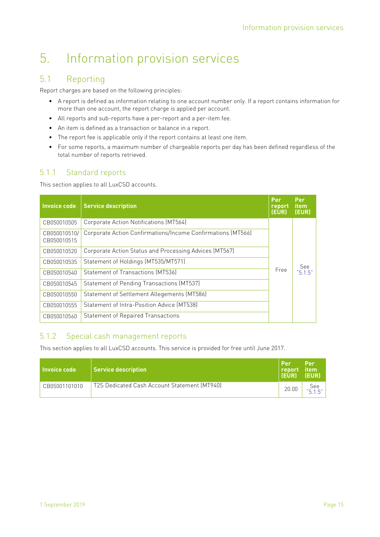# <span id="page-18-0"></span>5. Information provision services

## <span id="page-18-1"></span>5.1 Reporting

Report charges are based on the following principles:

- A report is defined as information relating to one account number only. If a report contains information for more than one account, the report charge is applied per account.
- All reports and sub-reports have a per-report and a per-item fee.
- An item is defined as a transaction or balance in a report.
- The report fee is applicable only if the report contains at least one item.
- For some reports, a maximum number of chargeable reports per day has been defined regardless of the total number of reports retrieved.

### <span id="page-18-3"></span>5.1.1 Standard reports

This section applies to all LuxCSD accounts.

| <b>Invoice code</b>         | <b>Service description</b>                                  | Per<br>report<br>(EUR) | Per<br>item<br>(EUR) |
|-----------------------------|-------------------------------------------------------------|------------------------|----------------------|
| CB050010505                 | Corporate Action Notifications (MT564)                      |                        |                      |
| CB050010510/<br>CB050010515 | Corporate Action Confirmations/Income Confirmations (MT566) |                        |                      |
| CB050010520                 | Corporate Action Status and Processing Advices (MT567)      |                        |                      |
| CB050010535                 | Statement of Holdings (MT535/MT571)                         |                        |                      |
| CB050010540                 | Statement of Transactions (MT536)                           | Free                   |                      |
| CB050010545                 | Statement of Pending Transactions (MT537)                   |                        |                      |
| CB050010550                 | Statement of Settlement Allegements (MT586)                 |                        |                      |
| CB050010555                 | Statement of Intra-Position Advice (MT538)                  |                        |                      |
| CB050010560                 | <b>Statement of Repaired Transactions</b>                   |                        |                      |

#### <span id="page-18-2"></span>5.1.2 Special cash management reports

This section applies to all LuxCSD accounts. This service is provided for free until June 2017.

| l Invoice code | Service description                          | <b>Per</b><br><b>report</b> item<br>EUR) (EUR) | <b>Per</b>     |
|----------------|----------------------------------------------|------------------------------------------------|----------------|
| CB05001101010  | T2S Dedicated Cash Account Statement (MT940) | 20.00                                          | See<br>$"515"$ |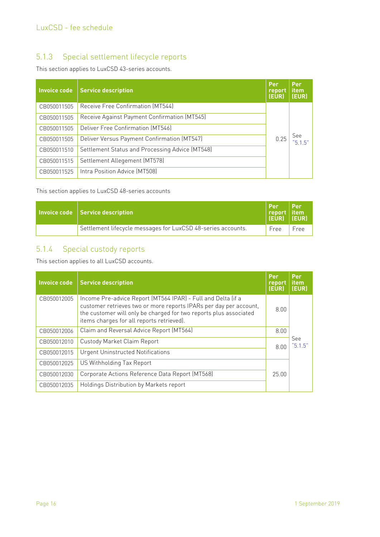## <span id="page-19-0"></span>5.1.3 Special settlement lifecycle reports

This section applies to LuxCSD 43-series accounts.

| <b>Invoice code</b> | <b>Service description</b>                      | Per<br>report<br>(EUR) | Per<br>item<br>(EUR) |
|---------------------|-------------------------------------------------|------------------------|----------------------|
| CB050011505         | Receive Free Confirmation (MT544)               |                        |                      |
| CB050011505         | Receive Against Payment Confirmation (MT545)    |                        |                      |
| CB050011505         | Deliver Free Confirmation (MT546)               |                        |                      |
| CB050011505         | Deliver Versus Payment Confirmation (MT547)     | 0.25                   | See                  |
| CB050011510         | Settlement Status and Processing Advice (MT548) |                        |                      |
| CB050011515         | Settlement Allegement (MT578)                   |                        |                      |
| CB050011525         | Intra Position Advice (MT508)                   |                        |                      |

This section applies to LuxCSD 48-series accounts

| <b>Invoice code   Service description</b>                    | Per Per<br>  report   item<br>  (EUR)   (EUR) |      |
|--------------------------------------------------------------|-----------------------------------------------|------|
| Settlement lifecycle messages for LuxCSD 48-series accounts. | Free                                          | Free |

## <span id="page-19-1"></span>5.1.4 Special custody reports

This section applies to all LuxCSD accounts.

| <b>Invoice code</b> | <b>Service description</b>                                                                                                                                                                                                                          | Per.<br>report<br>(EUR) | Per<br>item<br>(EUR) |
|---------------------|-----------------------------------------------------------------------------------------------------------------------------------------------------------------------------------------------------------------------------------------------------|-------------------------|----------------------|
| CB050012005         | Income Pre-advice Report (MT564 IPAR) - Full and Delta (if a<br>customer retrieves two or more reports IPARs per day per account,<br>the customer will only be charged for two reports plus associated<br>items charges for all reports retrieved). | 8.00                    |                      |
| CB050012006         | Claim and Reversal Advice Report (MT564)                                                                                                                                                                                                            | 8.00                    |                      |
| CB050012010         | Custody Market Claim Report                                                                                                                                                                                                                         | 8.00                    | See<br>"5.1.5"       |
| CB050012015         | <b>Urgent Uninstructed Notifications</b>                                                                                                                                                                                                            |                         |                      |
| CB050012025         | US Withholding Tax Report                                                                                                                                                                                                                           |                         |                      |
| CB050012030         | Corporate Actions Reference Data Report (MT568)                                                                                                                                                                                                     | 25.00                   |                      |
| CB050012035         | Holdings Distribution by Markets report                                                                                                                                                                                                             |                         |                      |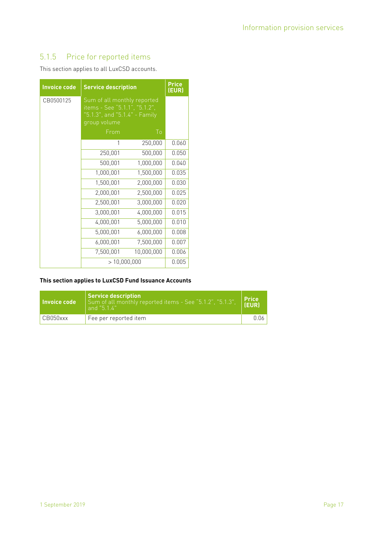## <span id="page-20-0"></span>5.1.5 Price for reported items

This section applies to all LuxCSD accounts.

| <b>Invoice code</b> | <b>Service description</b>                                                                                    |                           | <b>Price</b><br>(EUR) |
|---------------------|---------------------------------------------------------------------------------------------------------------|---------------------------|-----------------------|
| CB0500125           | Sum of all monthly reported<br>items - See "5.1.1", "5.1.2",<br>"5.1.3", and "5.1.4" - Family<br>group volume |                           |                       |
|                     | From                                                                                                          | $\overline{\mathrm{T}}$ o |                       |
|                     | 1                                                                                                             | 250,000                   | 0.060                 |
|                     | 250,001                                                                                                       | 500,000                   | 0.050                 |
|                     | 500,001                                                                                                       | 1,000,000                 | 0.040                 |
|                     | 1,000,001                                                                                                     | 1,500,000                 | 0.035                 |
|                     | 1,500,001                                                                                                     | 2,000,000                 | 0.030                 |
|                     | 2,000,001                                                                                                     | 2,500,000                 | 0.025                 |
|                     | 2,500,001                                                                                                     | 3,000,000                 | 0.020                 |
|                     | 3,000,001                                                                                                     | 4,000,000                 | 0.015                 |
|                     | 4,000,001                                                                                                     | 5,000,000                 | 0.010                 |
|                     | 5,000,001                                                                                                     | 6,000,000                 | 0.008                 |
|                     | 6,000,001                                                                                                     | 7,500,000                 | 0.007                 |
|                     | 7,500,001                                                                                                     | 10,000,000                | 0.006                 |
|                     | >10,000,000                                                                                                   |                           | 0.005                 |

#### **This section applies to LuxCSD Fund Issuance Accounts**

| l Invoice code | Service description<br>Service description<br>Sum of all monthly reported items - See "5.1.2", "5.1.3", Fice<br>and $"5.1.4"$ |      |
|----------------|-------------------------------------------------------------------------------------------------------------------------------|------|
| CB050xxx       | Fee per reported item                                                                                                         | 0.06 |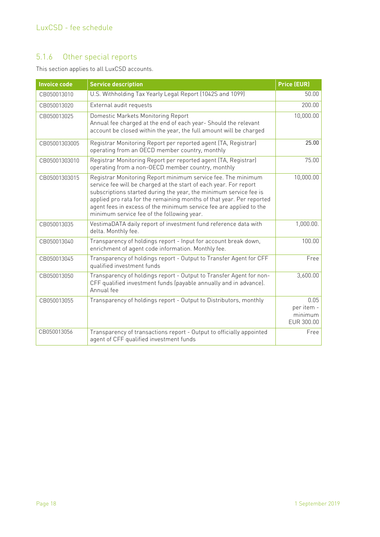## 5.1.6 Other special reports

This section applies to all LuxCSD accounts.

| <b>Invoice code</b> | <b>Service description</b>                                                                                                                                                                                                                                                                                                                                                                         | <b>Price (EUR)</b>                          |
|---------------------|----------------------------------------------------------------------------------------------------------------------------------------------------------------------------------------------------------------------------------------------------------------------------------------------------------------------------------------------------------------------------------------------------|---------------------------------------------|
| CB050013010         | U.S. Withholding Tax Yearly Legal Report (1042S and 1099)                                                                                                                                                                                                                                                                                                                                          | 50.00                                       |
| CB050013020         | External audit requests                                                                                                                                                                                                                                                                                                                                                                            | 200.00                                      |
| CB050013025         | Domestic Markets Monitoring Report<br>Annual fee charged at the end of each year- Should the relevant<br>account be closed within the year, the full amount will be charged                                                                                                                                                                                                                        | 10,000.00                                   |
| CB05001303005       | Registrar Monitoring Report per reported agent (TA, Registrar)<br>operating from an OECD member country, monthly                                                                                                                                                                                                                                                                                   | 25.00                                       |
| CB05001303010       | Registrar Monitoring Report per reported agent (TA, Registrar)<br>operating from a non-OECD member country, monthly                                                                                                                                                                                                                                                                                | 75.00                                       |
| CB05001303015       | Registrar Monitoring Report minimum service fee. The minimum<br>service fee will be charged at the start of each year. For report<br>subscriptions started during the year, the minimum service fee is<br>applied pro rata for the remaining months of that year. Per reported<br>agent fees in excess of the minimum service fee are applied to the<br>minimum service fee of the following year. | 10,000.00                                   |
| CB050013035         | VestimaDATA daily report of investment fund reference data with<br>delta. Monthly fee.                                                                                                                                                                                                                                                                                                             | 1,000.00.                                   |
| CB050013040         | Transparency of holdings report - Input for account break down,<br>enrichment of agent code information. Monthly fee.                                                                                                                                                                                                                                                                              | 100.00                                      |
| CB050013045         | Transparency of holdings report - Output to Transfer Agent for CFF<br>qualified investment funds                                                                                                                                                                                                                                                                                                   | Free                                        |
| CB050013050         | Transparency of holdings report - Output to Transfer Agent for non-<br>CFF qualified investment funds (payable annually and in advance).<br>Annual fee                                                                                                                                                                                                                                             | 3,600.00                                    |
| CB050013055         | Transparency of holdings report - Output to Distributors, monthly                                                                                                                                                                                                                                                                                                                                  | 0.05<br>per item -<br>minimum<br>EUR 300.00 |
| CB050013056         | Transparency of transactions report - Output to officially appointed<br>agent of CFF qualified investment funds                                                                                                                                                                                                                                                                                    | Free                                        |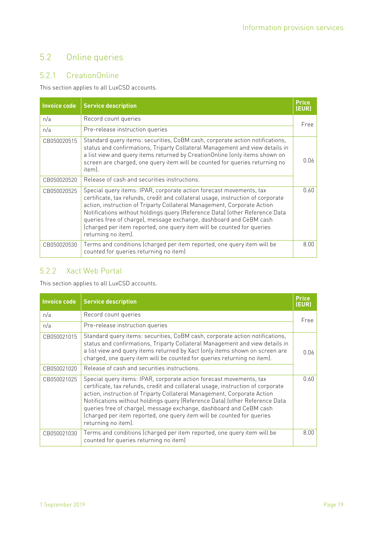# <span id="page-22-0"></span>5.2 Online queries

## 5.2.1 CreationOnline

This section applies to all LuxCSD accounts.

| <b>Invoice code</b> | <b>Service description</b>                                                                                                                                                                                                                                                                                                                                                                                                                                                              | <b>Price</b><br>(EUR) |
|---------------------|-----------------------------------------------------------------------------------------------------------------------------------------------------------------------------------------------------------------------------------------------------------------------------------------------------------------------------------------------------------------------------------------------------------------------------------------------------------------------------------------|-----------------------|
| n/a                 | Record count queries                                                                                                                                                                                                                                                                                                                                                                                                                                                                    | Free                  |
| n/a                 | Pre-release instruction queries                                                                                                                                                                                                                                                                                                                                                                                                                                                         |                       |
| CB050020515         | Standard query items: securities, CoBM cash, corporate action notifications,<br>status and confirmations, Triparty Collateral Management and view details in<br>a list view and query items returned by CreationOnline (only items shown on<br>screen are charged, one query item will be counted for queries returning no<br>item).                                                                                                                                                    | 0.06                  |
| CB050020520         | Release of cash and securities instructions.                                                                                                                                                                                                                                                                                                                                                                                                                                            |                       |
| CB050020525         | Special query items: IPAR, corporate action forecast movements, tax<br>certificate, tax refunds, credit and collateral usage, instruction of corporate<br>action, instruction of Triparty Collateral Management, Corporate Action<br>Notifications without holdings query (Reference Data) (other Reference Data<br>queries free of charge), message exchange, dashboard and CeBM cash<br>(charged per item reported, one query item will be counted for queries<br>returning no item). | 0.60                  |
| CB050020530         | Terms and conditions (charged per item reported, one query item will be<br>counted for queries returning no item)                                                                                                                                                                                                                                                                                                                                                                       | 8.00                  |

#### 5.2.2 Xact Web Portal

This section applies to all LuxCSD accounts.

| <b>Invoice code</b> | <b>Service description</b>                                                                                                                                                                                                                                                                                                                                                                                                                                                              | Price<br><b>IEURI</b> |
|---------------------|-----------------------------------------------------------------------------------------------------------------------------------------------------------------------------------------------------------------------------------------------------------------------------------------------------------------------------------------------------------------------------------------------------------------------------------------------------------------------------------------|-----------------------|
| n/a                 | Record count queries                                                                                                                                                                                                                                                                                                                                                                                                                                                                    | Free                  |
| n/a                 | Pre-release instruction queries                                                                                                                                                                                                                                                                                                                                                                                                                                                         |                       |
| CB050021015         | Standard query items: securities, CoBM cash, corporate action notifications,<br>status and confirmations, Triparty Collateral Management and view details in<br>a list view and query items returned by Xact (only items shown on screen are<br>charged, one query item will be counted for queries returning no item).                                                                                                                                                                 | 0.06                  |
| CB050021020         | Release of cash and securities instructions.                                                                                                                                                                                                                                                                                                                                                                                                                                            |                       |
| CB050021025         | Special query items: IPAR, corporate action forecast movements, tax<br>certificate, tax refunds, credit and collateral usage, instruction of corporate<br>action, instruction of Triparty Collateral Management, Corporate Action<br>Notifications without holdings query (Reference Data) (other Reference Data<br>queries free of charge), message exchange, dashboard and CeBM cash<br>(charged per item reported, one query item will be counted for queries<br>returning no item). | 0.60                  |
| CB050021030         | Terms and conditions (charged per item reported, one query item will be<br>counted for queries returning no item)                                                                                                                                                                                                                                                                                                                                                                       | 8.00                  |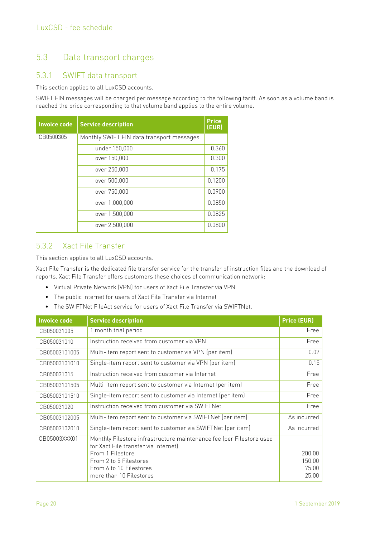## <span id="page-23-0"></span>5.3 Data transport charges

#### 5.3.1 SWIFT data transport

#### This section applies to all LuxCSD accounts.

SWIFT FIN messages will be charged per message according to the following tariff. As soon as a volume band is reached the price corresponding to that volume band applies to the entire volume.

| <b>Invoice code</b> | <b>Service description</b>                | <b>Price</b><br>(EUR) |
|---------------------|-------------------------------------------|-----------------------|
| CB0500305           | Monthly SWIFT FIN data transport messages |                       |
|                     | under 150,000                             | 0.360                 |
|                     | over 150,000                              | 0.300                 |
|                     | over 250,000                              | 0.175                 |
|                     | over 500,000                              | 0.1200                |
|                     | over 750,000                              | 0.0900                |
|                     | over 1,000,000                            | 0.0850                |
|                     | over 1,500,000                            | 0.0825                |
|                     | over 2,500,000                            | 0.0800                |

#### 5.3.2 Xact File Transfer

This section applies to all LuxCSD accounts.

Xact File Transfer is the dedicated file transfer service for the transfer of instruction files and the download of reports. Xact File Transfer offers customers these choices of communication network:

- Virtual Private Network (VPN) for users of Xact File Transfer via VPN
- The public internet for users of Xact File Transfer via Internet
- The SWIFTNet FileAct service for users of Xact File Transfer via SWIFTNet.

| <b>Invoice code</b> | <b>Service description</b>                                                                                                                                                                                       | <b>Price (EUR)</b>                 |
|---------------------|------------------------------------------------------------------------------------------------------------------------------------------------------------------------------------------------------------------|------------------------------------|
| CB050031005         | 1 month trial period                                                                                                                                                                                             | Free                               |
| CB050031010         | Instruction received from customer via VPN                                                                                                                                                                       | Free                               |
| CB05003101005       | Multi-item report sent to customer via VPN (per item)                                                                                                                                                            | 0.02                               |
| CB05003101010       | Single-item report sent to customer via VPN (per item)                                                                                                                                                           | 0.15                               |
| CB050031015         | Instruction received from customer via Internet                                                                                                                                                                  | Free                               |
| CB05003101505       | Multi-item report sent to customer via Internet (per item)                                                                                                                                                       | Free                               |
| CB05003101510       | Single-item report sent to customer via Internet (per item)                                                                                                                                                      | Free                               |
| CB050031020         | Instruction received from customer via SWIFTNet                                                                                                                                                                  | Free                               |
| CB05003102005       | Multi-item report sent to customer via SWIFTNet (per item)                                                                                                                                                       | As incurred                        |
| CB05003102010       | Single-item report sent to customer via SWIFTNet (per item)                                                                                                                                                      | As incurred                        |
| CB05003XXX01        | Monthly Filestore infrastructure maintenance fee (per Filestore used<br>for Xact File transfer via Internet)<br>From 1 Filestore<br>From 2 to 5 Filestores<br>From 6 to 10 Filestores<br>more than 10 Filestores | 200.00<br>150.00<br>75.00<br>25.00 |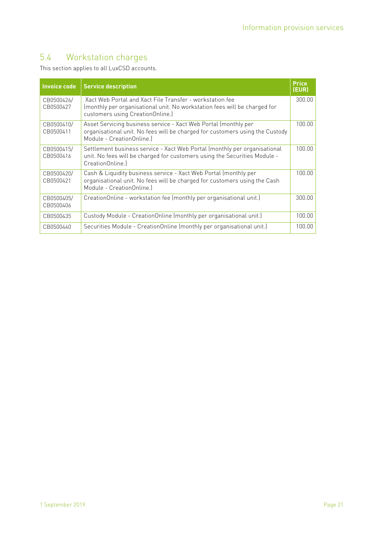# <span id="page-24-0"></span>5.4 Workstation charges

This section applies to all LuxCSD accounts.

| <b>Invoice code</b>     | <b>Service description</b>                                                                                                                                                  | <b>Price</b><br>(EUR) |
|-------------------------|-----------------------------------------------------------------------------------------------------------------------------------------------------------------------------|-----------------------|
| CB0500426/<br>CB0500427 | Xact Web Portal and Xact File Transfer - workstation fee<br>(monthly per organisational unit. No workstation fees will be charged for<br>customers using CreationOnline.)   | 300.00                |
| CB0500410/<br>CB0500411 | Asset Servicing business service - Xact Web Portal (monthly per<br>organisational unit. No fees will be charged for customers using the Custody<br>Module - CreationOnline. | 100.00                |
| CB0500415/<br>CB0500416 | Settlement business service - Xact Web Portal (monthly per organisational<br>unit. No fees will be charged for customers using the Securities Module -<br>CreationOnline.   | 100.00                |
| CB0500420/<br>CB0500421 | Cash & Liquidity business service - Xact Web Portal (monthly per<br>organisational unit. No fees will be charged for customers using the Cash<br>Module - CreationOnline.   | 100.00                |
| CB0500405/<br>CB0500406 | CreationOnline - workstation fee (monthly per organisational unit.)                                                                                                         | 300.00                |
| CB0500435               | Custody Module - CreationOnline (monthly per organisational unit.)                                                                                                          | 100.00                |
| CB0500440               | Securities Module - CreationOnline (monthly per organisational unit.)                                                                                                       | 100.00                |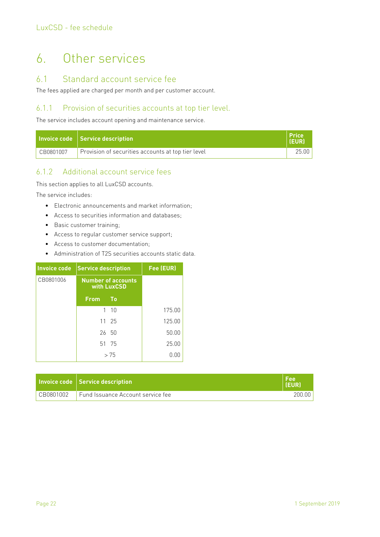# <span id="page-25-0"></span>6. Other services

### <span id="page-25-1"></span>6.1 Standard account service fee

The fees applied are charged per month and per customer account.

## <span id="page-25-2"></span>6.1.1 Provision of securities accounts at top tier level.

The service includes account opening and maintenance service.

|           | Invoice code   Service description                 | Price<br>(EUR)     |
|-----------|----------------------------------------------------|--------------------|
| CB0801007 | Provision of securities accounts at top tier level | 25.00 <sub>1</sub> |

## 6.1.2 Additional account service fees

This section applies to all LuxCSD accounts.

The service includes:

- Electronic announcements and market information;
- Access to securities information and databases;
- Basic customer training;
- Access to regular customer service support;
- Access to customer documentation;
- Administration of T2S securities accounts static data.

| <b>Invoice code</b> | <b>Service description</b>               |           | Fee (EUR) |
|---------------------|------------------------------------------|-----------|-----------|
| CB0801006           | <b>Number of accounts</b><br>with LuxCSD |           |           |
|                     | <b>From</b>                              | <b>To</b> |           |
|                     | 1                                        | 10        | 175.00    |
|                     |                                          | 11 25     | 125.00    |
|                     |                                          | 26 50     | 50.00     |
|                     |                                          | 51 75     | 25.00     |
|                     |                                          | >75       | 0.00      |

|           | Invoice code   Service description | Fee\<br><b>EURI</b> |
|-----------|------------------------------------|---------------------|
| CB0801002 | Fund Issuance Account service fee  | 200.00              |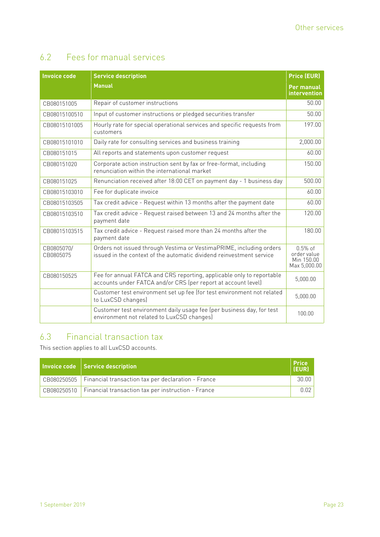# <span id="page-26-0"></span>6.2 Fees for manual services

| <b>Invoice code</b>     | <b>Price (EUR)</b><br><b>Service description</b>                                                                                            |                                                        |
|-------------------------|---------------------------------------------------------------------------------------------------------------------------------------------|--------------------------------------------------------|
|                         | <b>Manual</b>                                                                                                                               | Per manual<br>intervention                             |
| CB080151005             | Repair of customer instructions                                                                                                             | 50.00                                                  |
| CB08015100510           | Input of customer instructions or pledged securities transfer                                                                               | 50.00                                                  |
| CB08015101005           | Hourly rate for special operational services and specific requests from<br>customers                                                        | 197.00                                                 |
| CB08015101010           | Daily rate for consulting services and business training                                                                                    | 2,000.00                                               |
| CB080151015             | All reports and statements upon customer request                                                                                            | 60.00                                                  |
| CB080151020             | Corporate action instruction sent by fax or free-format, including<br>renunciation within the international market                          | 150.00                                                 |
| CB080151025             | Renunciation received after 18:00 CET on payment day - 1 business day                                                                       | 500.00                                                 |
| CB08015103010           | Fee for duplicate invoice                                                                                                                   | 60.00                                                  |
| CB08015103505           | Tax credit advice - Request within 13 months after the payment date                                                                         | 60.00                                                  |
| CB08015103510           | Tax credit advice - Request raised between 13 and 24 months after the<br>payment date                                                       | 120.00                                                 |
| CB08015103515           | Tax credit advice - Request raised more than 24 months after the<br>payment date                                                            | 180.00                                                 |
| CB0805070/<br>CB0805075 | Orders not issued through Vestima or VestimaPRIME, including orders<br>issued in the context of the automatic dividend reinvestment service | $0.5%$ of<br>order value<br>Min 150.00<br>Max 5,000.00 |
| CB080150525             | Fee for annual FATCA and CRS reporting, applicable only to reportable<br>accounts under FATCA and/or CRS (per report at account level)      | 5,000.00                                               |
|                         | Customer test environment set up fee (for test environment not related<br>to LuxCSD changes)                                                | 5,000.00                                               |
|                         | Customer test environment daily usage fee (per business day, for test<br>environment not related to LuxCSD changes)                         | 100.00                                                 |

## <span id="page-26-1"></span>6.3 Financial transaction tax

This section applies to all LuxCSD accounts.

| Invoice code   Service description                               | Price<br>EUR) |
|------------------------------------------------------------------|---------------|
| CB080250505   Financial transaction tax per declaration - France | 30.00         |
| CB080250510   Financial transaction tax per instruction - France | 0.02          |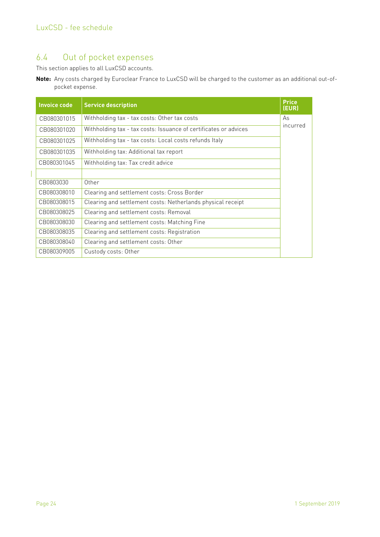$\overline{\phantom{a}}$ 

# <span id="page-27-0"></span>6.4 Out of pocket expenses

This section applies to all LuxCSD accounts.

**Note:** Any costs charged by Euroclear France to LuxCSD will be charged to the customer as an additional out-ofpocket expense.

| <b>Invoice code</b> | <b>Service description</b>                                       | <b>Price</b><br>(EUR) |
|---------------------|------------------------------------------------------------------|-----------------------|
| CB080301015         | Withholding tax - tax costs: Other tax costs                     | As                    |
| CB080301020         | Withholding tax - tax costs: Issuance of certificates or advices | incurred              |
| CB080301025         | Withholding tax - tax costs: Local costs refunds Italy           |                       |
| CB080301035         | Withholding tax: Additional tax report                           |                       |
| CB080301045         | Withholding tax: Tax credit advice                               |                       |
|                     |                                                                  |                       |
| CB0803030           | Other                                                            |                       |
| CB080308010         | Clearing and settlement costs: Cross Border                      |                       |
| CB080308015         | Clearing and settlement costs: Netherlands physical receipt      |                       |
| CB080308025         | Clearing and settlement costs: Removal                           |                       |
| CB080308030         | Clearing and settlement costs: Matching Fine                     |                       |
| CB080308035         | Clearing and settlement costs: Registration                      |                       |
| CB080308040         | Clearing and settlement costs: Other                             |                       |
| CB080309005         | Custody costs: Other                                             |                       |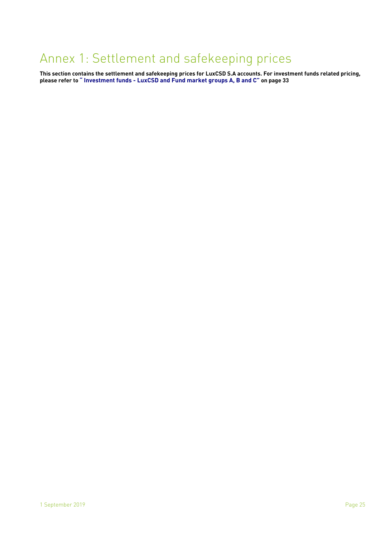# <span id="page-28-1"></span><span id="page-28-0"></span>Annex 1: Settlement and safekeeping prices

**This section contains the settlement and safekeeping prices for LuxCSD S.A accounts. For investment funds related pricing, please refer to [" Investment funds - LuxCSD and Fund market groups A, B and C" on page 33](#page-36-0)**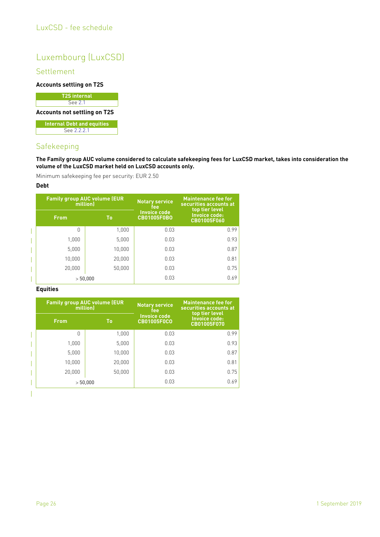# <span id="page-29-1"></span><span id="page-29-0"></span>Luxembourg (LuxCSD)

#### Settlement

#### **Accounts settling on T2S**

**Accounts not settling on T2S T2S internal** See [2.1](#page-9-3)

**Internal Debt and equities** See [2.2.2.1](#page-11-2)

### Safekeeping

**The Family group AUC volume considered to calculate safekeeping fees for LuxCSD market, takes into consideration the volume of the LuxCSD market held on LuxCSD accounts only.**

Minimum safekeeping fee per security: EUR 2.50

#### **Debt**

| million     | <b>Family group AUC volume (EUR)</b> | <b>Notary service</b><br>fee              | <b>Maintenance fee for</b><br>securities accounts at<br>top tier level |
|-------------|--------------------------------------|-------------------------------------------|------------------------------------------------------------------------|
| <b>From</b> | To                                   | <b>Invoice code</b><br><b>CB01005F0B0</b> | Invoice code:<br>CB01005F060                                           |
| 0           | 1,000                                | 0.03                                      | 0.99                                                                   |
| 1,000       | 5,000                                | 0.03                                      | 0.93                                                                   |
| 5,000       | 10,000                               | 0.03                                      | 0.87                                                                   |
| 10,000      | 20,000                               | 0.03                                      | 0.81                                                                   |
| 20,000      | 50.000                               | 0.03                                      | 0.75                                                                   |
| > 50.000    |                                      | 0.03                                      | 0.69                                                                   |

#### **Equities**

|             | <b>Family group AUC volume (EUR</b><br>million) | <b>Notary service</b><br>fee              | <b>Maintenance fee for</b><br>securities accounts at<br>top tier level |
|-------------|-------------------------------------------------|-------------------------------------------|------------------------------------------------------------------------|
| <b>From</b> | To                                              | <b>Invoice code</b><br><b>CB01005F0CO</b> | Invoice code:<br>CB01005F070                                           |
| $\Omega$    | 1,000                                           | 0.03                                      | 0.99                                                                   |
| 1,000       | 5,000                                           | 0.03                                      | 0.93                                                                   |
| 5,000       | 10,000                                          | 0.03                                      | 0.87                                                                   |
| 10,000      | 20,000                                          | 0.03                                      | 0.81                                                                   |
| 20,000      | 50.000                                          | 0.03                                      | 0.75                                                                   |
|             | > 50.000                                        | 0.03                                      | 0.69                                                                   |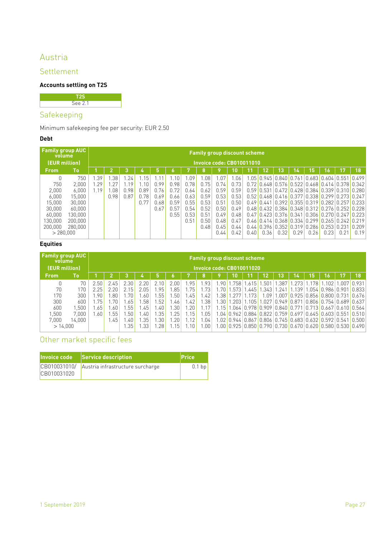## <span id="page-30-0"></span>Austria

## Settlement

#### **Accounts settling on T2S**

**T2S**  See [2.1](#page-9-3)

## Safekeeping

Minimum safekeeping fee per security: EUR 2.50

#### **Debt**

| <b>Family group AUC</b><br>volume<br>(EUR million) |         |      |      |      |      |      |       |      | <b>Family group discount scheme</b><br><b>Invoice code: CB010011010</b> |      |      |      |      |      |      |      |      |                                                  |                                                |
|----------------------------------------------------|---------|------|------|------|------|------|-------|------|-------------------------------------------------------------------------|------|------|------|------|------|------|------|------|--------------------------------------------------|------------------------------------------------|
|                                                    |         |      |      |      |      |      |       |      |                                                                         |      |      |      |      |      |      |      |      |                                                  |                                                |
| <b>From</b>                                        | To      |      |      |      |      | ю    | O     |      | ō                                                                       |      | 10   |      |      | 13   | 14   | 15   | 16   | /17                                              | 18                                             |
| 0                                                  | 750     | .39  | .38  | .24  | .15  |      | .10   | .09  | 1.08                                                                    | .07  | .06  |      |      |      |      |      |      | 0.551 0.945 0.840 0.761 0.683 0.604 0.551        | 0499                                           |
| 750                                                | 2.000   | .29  | .27  | .19  | .10  | 0.99 | 0.98' | 0.78 | 0.75                                                                    | 0.74 | 0.73 |      |      |      |      |      |      |                                                  | 0.72 0.648 0.576 0.522 0.468 0.414 0.378 0.342 |
| 2.000                                              | 6.000   | 1.19 | .08  | 0.98 | 0.89 | 0.76 | 0.72  | 0.64 | 0.62                                                                    | 0.59 | 0.59 |      |      |      |      |      |      | $0.59$ 0.531 0.472 0.428 0.384 0.339 0.310 0.280 |                                                |
| 6,000                                              | 15,000  |      | 0.98 | 0.87 | 0.78 | 0.69 | 0.66  | 0.63 | 0.59                                                                    | 0.53 | 0.53 |      |      |      |      |      |      | $0.52$ 0.468 0.416 0.377 0.338 0.299 0.273 0.247 |                                                |
| 15,000                                             | 30,000  |      |      |      | 0.77 | 0.68 | 0.59  | 0.55 | 0.53                                                                    | 0.51 | 0.50 |      |      |      |      |      |      | $0.49$ 0.441 0.392 0.355 0.319 0.282 0.257 0.233 |                                                |
| 30,000                                             | 60.000  |      |      |      |      | 0.67 | 0.57  | 0.54 | 0.52                                                                    | 0.50 | 0.49 |      |      |      |      |      |      | $0.48$ 0.432 0.384 0.348 0.312 0.276 0.252 0.228 |                                                |
| 60,000                                             | 130.000 |      |      |      |      |      | 0.55  | 0.53 | 0.51                                                                    | 0.49 | 0.48 |      |      |      |      |      |      | $0.4710.42310.37610.34110.30610.27010.24710.223$ |                                                |
| 130.000                                            | 200,000 |      |      |      |      |      |       | 0.51 | 0.50                                                                    | 0.48 | 0.47 |      |      |      |      |      |      | $0.46$ 0.414 0.368 0.334 0.299 0.265 0.242 0.219 |                                                |
| 200.000                                            | 280,000 |      |      |      |      |      |       |      | 0.48                                                                    | 0.45 | 0.44 |      |      |      |      |      |      | 0.44 0.396 0.352 0.319 0.286 0.253 0.231         | 0.209                                          |
| > 280.000                                          |         |      |      |      |      |      |       |      |                                                                         | 0.44 | 0.42 | 0.40 | 0.36 | 0.32 | 0.29 | 0.26 | 0.23 | 0.21                                             | 0.19                                           |

#### **Equities**

| <b>Family group AUC</b><br>volume<br>(EUR million) |        |      | <b>Family group discount scheme</b><br><b>Invoice code: CB010011020</b> |      |        |       |       |      |      |        |      |               |       |      |       |       |       |                                                            |            |
|----------------------------------------------------|--------|------|-------------------------------------------------------------------------|------|--------|-------|-------|------|------|--------|------|---------------|-------|------|-------|-------|-------|------------------------------------------------------------|------------|
| <b>From</b>                                        | To     |      |                                                                         |      |        |       |       |      |      |        |      |               | 12    | 13   |       | 15    | ıο    |                                                            | 18         |
|                                                    | 70     | 2.50 | 2.45                                                                    | 2.30 | 2.20   | 2 1 0 | 2.00  | .95  | 1.93 | -90 I  | .758 | 1.615         | 1.501 | .387 | 1.273 | l.178 | 1.102 |                                                            | .00710.931 |
| 70                                                 | 170    | 2.25 | 2.20                                                                    | 2 15 | 2.05   | .95   | 1.85  | .75  | 1.73 | -70 L  | .573 | 1.445         | 1.343 | .241 | 1.139 |       |       | 1.054 0.986 0.901 0.833                                    |            |
| 170                                                | 300    | -90  | .80                                                                     | 70   | - 60   | .55   | 1.50. | .45  | 1.42 | 1.38 L | 777  | 1 1 7 3       | 1.09  |      |       |       |       | 007 0.925 0.856 0.800 0.731 0.676                          |            |
| 300                                                | 600    | 75   | - 70                                                                    | .65  | $.58+$ | .52   | 1.46. | 42   | 1.38 | 1.30 L |      | $1.203$ 1.105 |       |      |       |       |       | 1.027 0.949 0.871 0.806 0.754 0.689 0.637                  |            |
| 600                                                | .500   | .65  | .60                                                                     | .55  | 45     | 40    | 1.30. | -20  | 1171 | 1 15 1 |      |               |       |      |       |       |       | L064 0.978 0.909 0.840 0.771 0.713 0.667 0.610 0.564       |            |
| .500                                               | 7.000  | .60  | .55                                                                     | .501 | . 40   | .35   | 1 25. | l 15 | 1.05 |        |      |               |       |      |       |       |       | 0.04 0.962 0.884 0.822 0.759 0.697 0.645 0.603 0.551 0.510 |            |
| 7.000                                              | 14.000 |      | -45                                                                     | .40  | .35    | .30   | 1 20. | 12   | 1.04 |        |      |               |       |      |       |       |       | 0.02 0.944 0.867 0.806 0.745 0.683 0.632 0.592 0.541 0.500 |            |
| >14.000                                            |        |      |                                                                         | .35  | .33    | -28   | 1 15  | 1 N  | l.OO |        |      |               |       |      |       |       |       | 0.00 0.925 0.850 0.790 0.730 0.670 0.620 0.580 0.530 0.490 |            |

| <b>Invoice code</b> | <b>Service description</b>                    | <b>Price</b> |
|---------------------|-----------------------------------------------|--------------|
| CB010031020         | CB010031010/ Austria infrastructure surcharge | $0.1$ bp     |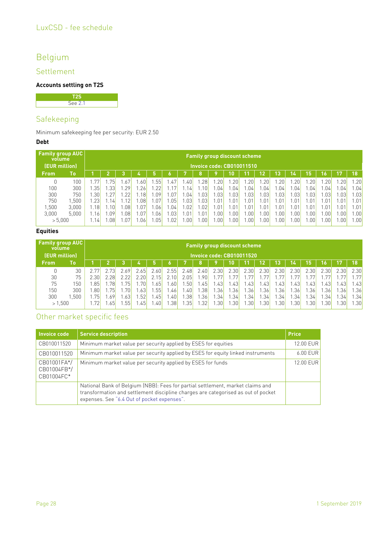# <span id="page-31-0"></span>Belgium

## Settlement

#### **Accounts settling on T2S**

**T2S**  See [2.1](#page-9-3)

## Safekeeping

Minimum safekeeping fee per security: EUR 2.50

#### **Debt**

| <b>Family group AUC</b><br>volume |       |                                                                                                                                                                     |                  |      |       |                  |      |                  |                  |      | <b>Family group discount scheme</b> |      |               |               |                  |                 |      |                  |                  |
|-----------------------------------|-------|---------------------------------------------------------------------------------------------------------------------------------------------------------------------|------------------|------|-------|------------------|------|------------------|------------------|------|-------------------------------------|------|---------------|---------------|------------------|-----------------|------|------------------|------------------|
| (EUR million)                     |       |                                                                                                                                                                     |                  |      |       |                  |      |                  |                  |      | <b>Invoice code: CB010011510</b>    |      |               |               |                  |                 |      |                  |                  |
| <b>From</b>                       | To    |                                                                                                                                                                     |                  |      |       |                  | ю    |                  |                  |      | 10                                  | 11   | 12            | 13            | Ш                | 15              | 6    | v                | 18               |
| U                                 | 100   |                                                                                                                                                                     | .75              | .67  | .60   | .551             | .47  | .40              | .28              | .20  | .201                                | .201 | .20           | .20           | .20 <sub>l</sub> | .201            | .20  | .20 <sub>l</sub> | .201             |
| 100                               | 300   | .35                                                                                                                                                                 | .331             | .29  | .26   | .221             |      | .14 <sup>1</sup> | . . 101          | .04  | .04                                 | .041 | .04           | .04           | .04              | .04             | ا04. | .04              | .041             |
| 300                               | 750   | .30                                                                                                                                                                 |                  | .22  | l.18l | .091             | .07  | .04              | .03 <sup>1</sup> | 1.03 | .031                                | .03  | .03           | .03           | .03              | .03             | .03  | .03              | .03 <sub>l</sub> |
| 750                               | .500  | .231                                                                                                                                                                | 1.14             | .12  | .08   | .07              | .05  | .03              | .03 <sub>1</sub> | 1.01 | .01                                 | 1.01 | .01           | .01           | .01              | .0 <sup>1</sup> | .01  | .01              | .01              |
| .500                              | 3.000 | .18                                                                                                                                                                 | 10 <sub>l</sub>  | .08' | .07   | .06              | .04  | .02              | .02'             | .01  | .01                                 | .01  | .01           | .01           | .01              | .0 <sup>1</sup> | .01  | .01              | .01              |
| 3.000                             | 5.000 | .07<br>.03 <sub>1</sub><br>.01<br>.001<br>$.00^{\circ}$<br>.00<br>.09'<br>.01<br>.001<br>.00 <sub>1</sub><br>.00<br>.00.<br>.00<br>.00<br>$.08^\circ$<br>.06<br>.16 |                  |      |       |                  |      |                  |                  |      |                                     |      | .001          |               |                  |                 |      |                  |                  |
| > 5,000                           |       | .141                                                                                                                                                                | .08 <sup>1</sup> |      | .06   | .05 <sub>1</sub> | 1.02 | .00              | .00              | .001 | .001                                | 1.00 | $.00^{\circ}$ | $.00^{\circ}$ | .00.             | .00             | .00' | .00              | .001             |

#### **Equities**

| <b>Family group AUC</b><br>volume |      |      |                           |      |      |      |      |        |                  |                  | <b>Family group discount scheme</b> |                  |                  |                  |      |                  |      |      |      |
|-----------------------------------|------|------|---------------------------|------|------|------|------|--------|------------------|------------------|-------------------------------------|------------------|------------------|------------------|------|------------------|------|------|------|
| (EUR million)                     |      |      | Invoice code: CB010011520 |      |      |      |      |        |                  |                  |                                     |                  |                  |                  |      |                  |      |      |      |
| <b>From</b>                       | To   |      |                           |      |      |      | о    |        |                  |                  | 10                                  |                  |                  | 13               | 14   | 15               | 16   | 17   | 18   |
| 0                                 | 30   |      |                           | 69'  | 2.65 | 2.60 | 2.55 | 2.48   | 2.40             | 2.30             | 2.30                                | 2.30             | 2.30             | 2.30             | 2.30 | 2.30             | 2.30 | 2.30 | 2.30 |
| 30                                | 75   | 2.30 | 2.28                      | 2.22 | 2.20 | 2.15 | 2.10 | 2.05   | .90              |                  |                                     |                  | .77'             | .77              |      | .77              | .77  | .77  | .77  |
| 75                                | 150  | .851 | 78                        | .75' | .70  | .651 | .601 | . 501  | .451             | .431             | .43!                                | .43              | .43              | .431             | .43  | .43              | .431 | .43  | .43  |
| 150                               | 300  | .801 |                           | .70  | .63  | .551 | .461 | 1.40   | .38 <sub>l</sub> | .36              | .36                                 | .361             | .36              | .36 <sub>l</sub> | .36  | .361             | .361 | .36  | .36  |
| 300                               | .500 | .751 | .69'                      | .63' | .52' | .451 | .401 | .381   | .36              | .34              | .34 <sub>1</sub>                    | .34 <sub>1</sub> | .34              | .34 <sub>1</sub> | .341 | .34 <sub>1</sub> | .34  | .34  | .341 |
| >1,500                            |      | .721 | .65'                      | .55  | .45  | .401 | .381 | ا35، ، | .32 <sup>1</sup> | .30 <sub>l</sub> | .301                                | ا30 ،            | .30 <sub>l</sub> | .30 <sub>l</sub> | .301 | .301             | .301 | .30  | .301 |

| Invoice code                             | <b>Service description</b>                                                                                                                                                                                         | <b>Price</b> |
|------------------------------------------|--------------------------------------------------------------------------------------------------------------------------------------------------------------------------------------------------------------------|--------------|
| CB010011520                              | Minimum market value per security applied by ESES for equities                                                                                                                                                     | 12.00 EUR    |
| CB010011520                              | Minimum market value per security applied by ESES for equity linked instruments                                                                                                                                    | 6.00 EUR     |
| CB01001FA*/<br>CB01004FB*/<br>CB01004FC* | Minimum market value per security applied by ESES for funds                                                                                                                                                        | 12.00 EUR    |
|                                          | National Bank of Belgium (NBB): Fees for partial settlement, market claims and<br>transformation and settlement discipline charges are categorised as out of pocket<br>expenses. See "6.4 Out of pocket expenses". |              |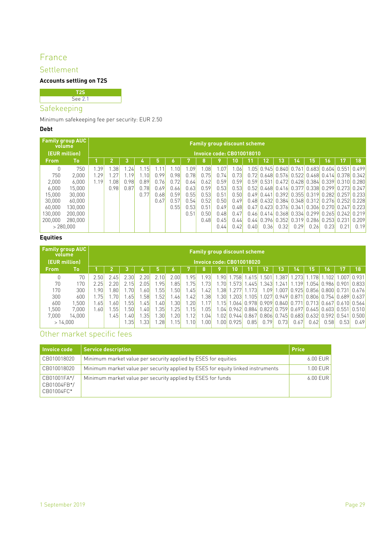## <span id="page-32-0"></span>France

## Settlement

#### **Accounts settling on T2S**

**T2S**  See [2.1](#page-9-3)

#### Safekeeping

Minimum safekeeping fee per security: EUR 2.50

#### **Debt**

|             | <b>Family group AUC</b><br>volume |                  | <b>Family group discount scheme</b> |      |       |      |      |      |       |                           |      |      |      |      |      |                                                |      |      |                                                |
|-------------|-----------------------------------|------------------|-------------------------------------|------|-------|------|------|------|-------|---------------------------|------|------|------|------|------|------------------------------------------------|------|------|------------------------------------------------|
|             | (EUR million)                     |                  |                                     |      |       |      |      |      |       | Invoice code: CB010018010 |      |      |      |      |      |                                                |      |      |                                                |
| <b>From</b> | To                                |                  |                                     |      |       |      | O    |      | 8     | ٥                         | 10   |      | 12   | 13   |      | 15                                             | 16   | '17  | 18                                             |
|             | 750                               | .39 <sup>1</sup> | .38                                 | 1.24 | 1.15I | 11.، | 1.10 | .09  | l.08l | 1.07                      | 1.06 |      |      |      |      | 1.05 0.945 0.840 0.761 0.683 0.604 0.551       |      |      | 0.499                                          |
| 750         | 2.000                             | .29              | .27                                 | 1.19 | 1.10  | 0.99 | 0.98 | 0.78 | 0.75  | 0.74                      | 0.73 |      |      |      |      |                                                |      |      | 0.72 0.648 0.576 0.522 0.468 0.414 0.378 0.342 |
| 2,000       | 6,000                             | 1.19             | .08                                 | 0.98 | 0.89  | 0.76 | 0.72 | 0.64 | 0.62  | 0.59                      | 0.59 |      |      |      |      | 0.59 0.531 0.472 0.428 0.384 0.339 0.310 0.280 |      |      |                                                |
| 6.000       | 15,000                            |                  | 0.98                                | 0.87 | 0.78  | 0.69 | 0.66 | 0.63 | 0.59  | 0.53                      | 0.53 |      |      |      |      | 0.52 0.468 0.416 0.377 0.338 0.299 0.273 0.247 |      |      |                                                |
| 15,000      | 30,000                            |                  |                                     |      | 0.77  | 0.68 | 0.59 | 0.55 | 0.53  | 0.51                      | 0.50 |      |      |      |      | 0.49 0.441 0.392 0.355 0.319 0.282 0.257 0.233 |      |      |                                                |
| 30,000      | 60,000                            |                  |                                     |      |       | 0.67 | 0.57 | 0.54 | 0.52  | 0.50                      | 0.49 |      |      |      |      | 0.48 0.432 0.384 0.348 0.312 0.276 0.252 0.228 |      |      |                                                |
| 60,000      | 130,000                           |                  |                                     |      |       |      | 0.55 | 0.53 | 0.51  | 0.49                      | 0.48 |      |      |      |      | 0.47 0.423 0.376 0.341 0.306 0.270 0.247 0.223 |      |      |                                                |
| 130,000     | 200,000                           |                  |                                     |      |       |      |      | 0.51 | 0.50  | 0.48                      | 0.47 |      |      |      |      | 0.46 0.414 0.368 0.334 0.299 0.265 0.242 0.219 |      |      |                                                |
| 200,000     | 280,000                           |                  |                                     |      |       |      |      |      | 0.48  | 0.45                      | 0.44 |      |      |      |      | 0.44 0.396 0.352 0.319 0.286 0.253 0.231       |      |      | $\left[$ 0 209                                 |
|             | > 280.000                         |                  |                                     |      |       |      |      |      |       | 0.44                      | 042  | 0.40 | 0.36 | 0.32 | 0.29 | 0.26                                           | 0.23 | 0.21 | 0.19                                           |

#### **Equities**

| <b>Family group AUC</b><br>volume<br>(EUR million) |        |       | <b>Family group discount scheme</b><br><b>Invoice code: CB010018020</b> |       |                       |      |      |       |       |      |       |             |           |       |           |                                                            |              |      |              |
|----------------------------------------------------|--------|-------|-------------------------------------------------------------------------|-------|-----------------------|------|------|-------|-------|------|-------|-------------|-----------|-------|-----------|------------------------------------------------------------|--------------|------|--------------|
| <b>From</b>                                        | To     |       | 12<br>13<br>10<br>15<br>o                                               |       |                       |      |      |       |       |      |       |             | 16        |       | 18        |                                                            |              |      |              |
|                                                    | 70     | :501  | 2.45                                                                    | 2.30  | 2.20                  | 2.10 | 2.00 | .95   | 1.93  | .901 |       | 1.758 1.615 | 1.501     | 1.387 | $1.273$ 1 |                                                            | .178 1.102 1 |      | $.007$ 0.931 |
| 70                                                 | 170    | 2 251 | 2.20                                                                    | 2.15  | 2.05                  | .951 | .851 | 175   | 1.73  | .701 |       | 1.573 1.445 | $1.343$ 1 | 1.241 |           | 1.139 1.054 0.986 0.901 0.833                              |              |      |              |
| 170                                                | 300    | .901  | 1.801                                                                   | . 701 | 1.601                 | .551 | .501 | 1.45  | 1.42  | .381 |       | 1.277 1.173 | 1.09      |       |           |                                                            |              |      |              |
| 300                                                | 600    | .75   | 1.701                                                                   | .651  | .581                  | .521 | .461 | 1.42  | 1.38  | L30L |       |             |           |       |           | 1.203 1.105 1.027 0.949 0.871 0.806 0.754 0.689 0.637      |              |      |              |
| 600                                                | 1.500  | .65   | .601                                                                    | .551  | $\lfloor .45 \rfloor$ | .401 | .301 | .20   | 1.17  | 1.15 |       |             |           |       |           | 1.064 0.978 0.909 0.840 0.771 0.713 0.667 0.610 0.564      |              |      |              |
| 1.500                                              | 7.000  | .601  | .551                                                                    | .501  | l .40l                | .351 | .251 | 1.15  | 1.05  |      |       |             |           |       |           | 1.04 0.962 0.884 0.822 0.759 0.697 0.645 0.603 0.551 0.510 |              |      |              |
| 7.000                                              | 14.000 |       | 1.451                                                                   | .40   | .35 <sub>1</sub>      | .301 | -201 | 1 12  | 1.04  |      |       |             |           |       |           | 1.02 0.944 0.867 0.806 0.745 0.683 0.632 0.592 0.541 0.500 |              |      |              |
| >14.000                                            |        |       |                                                                         | .35   | .331                  | .28  |      | . 101 | 1.001 | - UU | 0.925 | 0.85        | 0.791     | 0.73  | 0.67      | 0.62                                                       | 0.58         | 0.53 | 0.49         |

| Invoice code                             | <b>Service description</b>                                                      | <b>Price</b> |
|------------------------------------------|---------------------------------------------------------------------------------|--------------|
| CB010018020                              | Minimum market value per security applied by ESES for equities                  | 6.00 EUR     |
| CB010018020                              | Minimum market value per security applied by ESES for equity linked instruments | 1.00 EUR     |
| CB01001FA*/<br>CB01004FB*/<br>CB01004FC* | Minimum market value per security applied by ESES for funds                     | $6.00$ EUR   |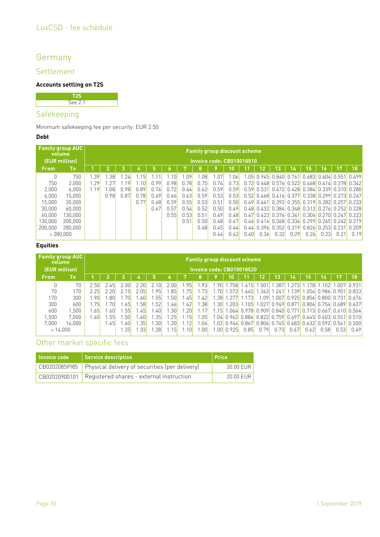# <span id="page-33-0"></span>Germany

## Settlement

#### **Accounts settling on T2S**

**T2S**  See [2.1](#page-9-3)

## Safekeeping

Minimum safekeeping fee per security: EUR 2.50

#### **Debt**

|             | <b>Family group AUC</b><br>volume |       |      |      |       |      |      |      |      | <b>Family group discount scheme</b> |      |      |                |      |      |                                                |             |      |                                                       |
|-------------|-----------------------------------|-------|------|------|-------|------|------|------|------|-------------------------------------|------|------|----------------|------|------|------------------------------------------------|-------------|------|-------------------------------------------------------|
|             | (EUR million)                     |       |      |      |       |      |      |      |      | <b>Invoice code: CB010018510</b>    |      |      |                |      |      |                                                |             |      |                                                       |
| <b>From</b> | Τo                                |       |      |      |       | 5    | ľ.   |      |      |                                     |      |      | $\overline{2}$ | 3    | 4    | 15                                             | 16          | 17   | 18                                                    |
| 0           | 750                               | .39   | .381 | 1.24 | 151   |      | 1.10 | .09  | .081 | 1.07                                | .06  |      |                |      |      |                                                |             |      | <u>1.05 0.945 0.840 0.761 0.683 0.604 0.551 0.499</u> |
| 750         | 2.000                             | .29   | . 27 | 1.19 | 1.10I | 0.99 | 0.98 | 0.78 | 0.75 | 0.74                                | 0.73 | 0.72 |                |      |      |                                                |             |      | 0.648 0.576 0.522 0.468 0.414 0.378 0.342             |
| 2.000       | 6.000                             | 1.191 | .08  | 0.98 | 0.89  | 0.76 | 0.72 | 0.64 | 0.62 | 0.59                                | 0.59 |      |                |      |      |                                                |             |      | 0.59 0.531 0.472 0.428 0.384 0.339 0.310 0.280        |
| 6,000       | 15,000                            |       | 0.98 | 0.87 | 0.78  | 0.69 | 0.66 | 0.63 | 0.59 | 0.53                                | 0.53 |      |                |      |      |                                                |             |      | 0.52 0.468 0.416 0.377 0.338 0.299 0.273 0.247        |
| 15.000      | 30,000                            |       |      |      | 0.77  | 0.68 | 0.59 | 0.55 | 0.53 | 0.51                                | 0.50 |      |                |      |      |                                                |             |      | 0.49 0.441 0.392 0.355 0.319 0.282 0.257 0.233        |
| 30,000      | 60.000                            |       |      |      |       | 0.67 | 0.57 | 0.54 | 0.52 | 0.50                                | 0.49 |      |                |      |      | 0.48 0.432 0.384 0.348 0.312 0.276 0.252 0.228 |             |      |                                                       |
| 60,000      | 130.000                           |       |      |      |       |      | 0.55 | 0.53 | 0.51 | 0.49                                | 0.48 |      |                |      |      |                                                |             |      | 0.47 0.423 0.376 0.341 0.306 0.270 0.247 0.223        |
| 130.000     | 200,000                           |       |      |      |       |      |      | 0.51 | 0.50 | 0.48                                | 0.47 |      |                |      |      |                                                |             |      | 0.46 0.414 0.368 0.334 0.299 0.265 0.242 0.219        |
| 200,000     | 280,000                           |       |      |      |       |      |      |      | 0.48 | 0.45                                | 0.44 | 0.44 |                |      |      | 0.396 0.352 0.319 0.826                        | 0.253 0.231 |      | 0.209                                                 |
|             | > 280.000                         |       |      |      |       |      |      |      |      | 0.44                                | 0.42 | 0.40 | 0.36           | 0.32 | 0.29 | 0.26                                           | 0.23        | 0.21 | 0.19                                                  |

#### **Equities**

| <b>Family group AUC</b><br>volume |        |       |      |       |       |      |                   |                      |                  |                  |       | <b>Family group discount scheme</b> |      |      |      |                                                  |      |                                                                                     |               |
|-----------------------------------|--------|-------|------|-------|-------|------|-------------------|----------------------|------------------|------------------|-------|-------------------------------------|------|------|------|--------------------------------------------------|------|-------------------------------------------------------------------------------------|---------------|
| (EUR million)                     |        |       |      |       |       |      |                   |                      |                  |                  |       | <b>Invoice code: CB010018520</b>    |      |      |      |                                                  |      |                                                                                     |               |
| <b>From</b>                       | Τo     |       |      |       |       |      |                   |                      |                  |                  | Ю     |                                     |      | 13   |      | 15                                               | 16   |                                                                                     |               |
|                                   | 70     | 2.50  | 245  | 2.30  | 2.20  | 2.10 | 2.00 <sub>l</sub> | .95                  | 1.93             | l.90 l           |       | L.758 1.615                         |      |      |      | <u>1.501   1.387   1.273   1.178   1.102   1</u> |      |                                                                                     | $0.007$ 0.931 |
| 70                                | 170    | 2 25  | 220  | 2 15  | 2.05  | .95  | .85 <sup>1</sup>  | . 75                 | 1.731            | .701             | .573  | 1.445                               |      |      |      |                                                  |      | 1.343 1.241 1.139 1.054 0.986 0.901 0.833                                           |               |
| 170                               | 300    | l.90I | .801 | 1.701 | 1.601 | .551 | .50               | -45                  | 1.421            | $\overline{.}38$ |       | L277 1.173                          | .091 |      |      |                                                  |      | 1.007 0.925 0.856 0.800 0.731 0.676                                                 |               |
| 300                               | 600    | 1751  |      | - 65  | .58   | .52  | .461              | .421                 | 1.38             | L30L             |       |                                     |      |      |      |                                                  |      | l.203   1.105   1.027   0.949   0.871   0.806   0.754   0.689   0.637               |               |
| 600                               | 1.500  | 1.651 | .601 | 55    | 1.45  | .401 | $\overline{.30}$  | $\left  .20 \right $ | 1 1 7            | 1.15             |       |                                     |      |      |      |                                                  |      | 1.064 0.978 0.909 0.840 0.771 0.713 0.667 0.610 0.564                               |               |
| 1,500                             | 7.000  | 1.601 | .551 | - 50  | 1.401 | .351 | .25               | .15                  | 1.05             |                  |       |                                     |      |      |      |                                                  |      | <u>1.04   0.962   0.884   0.822   0.759   0.697   0.645   0.603   0.551   0.510</u> |               |
| 7.000                             | 14.000 |       | .45  | - 40  | 1.351 | .301 | .201              | .12                  | 1.041            | 1.02             |       |                                     |      |      |      |                                                  |      | 0.944 0.867 0.806 0.745 0.683 0.632 0.592 0.541 0.500                               |               |
| >14.000                           |        |       |      | .351  | .331  | .281 | .151              | .101                 | $1.00\mathsf{I}$ | .001             | 0.925 | 0.85                                | 0.79 | 0.73 | 0.67 | 0.62                                             | 0.58 | 0.53                                                                                | 0.49          |

| <b>Invoice code</b> | Service description                                            | <b>Price</b> |
|---------------------|----------------------------------------------------------------|--------------|
|                     | CB0202085PI85   Physical delivery of securities (per delivery) | 30.00 EUR    |
| CB02020900101       | Registered shares - external instruction                       | 20.00 EUR L  |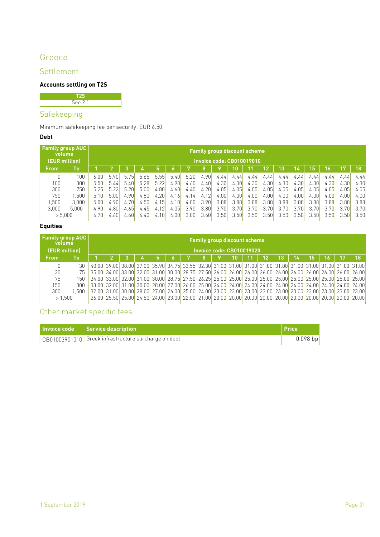## <span id="page-34-0"></span>Greece

## Settlement

#### **Accounts settling on T2S**

**T2S**  See [2.1](#page-9-3)

## Safekeeping

Minimum safekeeping fee per security: EUR 6.50

#### **Debt**

| <b>Family group AUC</b><br>volume<br>(EUR million) |       |      |      |      |      |      |      |      |      |      | <b>Family group discount scheme</b><br>Invoice code: CB010019010 |      |      |      |      |      |      |      |      |
|----------------------------------------------------|-------|------|------|------|------|------|------|------|------|------|------------------------------------------------------------------|------|------|------|------|------|------|------|------|
| <b>From</b>                                        | To    |      |      |      |      |      |      |      |      |      |                                                                  |      | 12   | 13   | 14   | 15   | 16   | 17   | 18   |
|                                                    | 100   | 6.00 | 5.90 | 5.75 | 5.65 | 5.55 | 5.40 | 5.20 | 4.90 | 4.44 | 4.44                                                             | 4.44 | 4.44 | 4.44 | 4.44 | 4.44 | 4.44 | 4.44 | 4.44 |
| 100                                                | 300   | 5.50 | 5.44 | 5.40 | 5.28 | 5.22 | 4.90 | 4.60 | 4.40 | 4.30 | 4.30                                                             | 4.30 | 4.30 | 4.30 | 4.30 | 4.30 | 4.30 | 4.30 | 4.30 |
| 300                                                | 750   | 5.25 | 5.22 | 5.20 | 5.00 | 4.80 | 4.60 | 4.40 | 4.20 | 4.05 | 4.05                                                             | 4.05 | 4.05 | 4.05 | 4.05 | 4.05 | 4.05 | 4.05 | 4.05 |
| 750                                                | .500  | 5.10 | 5.00 | 4.90 | 4.80 | 4.20 | 4.16 | 4.14 | 4.12 | 4.00 | 4.00                                                             | 4.00 | 4.00 | 4.00 | 4.00 | 4.00 | 4.00 | 4.00 | 4.00 |
| .500                                               | 3.000 | 5.00 | 4.90 | 4.70 | 4.50 | 4.15 | 4.10 | 4.00 | 3.90 | 3.88 | 3.88                                                             | 3.88 | 3.88 | 3.88 | 3.88 | 3.88 | 3.88 | 3.88 | 3.88 |
| 3.000                                              | 5.000 | 4.90 | 4.80 | 4.65 | 4.45 | 4.12 | 4.05 | 3.90 | 3.80 | 3.70 | 3.70                                                             | 3.70 | 3.70 | 3.70 | 3.70 | 3.70 | 3.70 | 3.70 | 3.70 |
| > 5.000                                            |       | 4.70 | 4.60 | 4.60 | 4.40 | 4.10 | 4.00 | 3.80 | 3.60 | 3.50 | 3.50                                                             | 3.50 | 3.50 | 3.50 | 3.50 | 3.50 | 3.50 | 3.50 | 3.50 |

#### **Equities**

| <b>Family group AUC</b> | volume |  |  |  |  |    | <b>Family group discount scheme</b> |  |    |     |                                                                                                                              |
|-------------------------|--------|--|--|--|--|----|-------------------------------------|--|----|-----|------------------------------------------------------------------------------------------------------------------------------|
| (EUR million)           |        |  |  |  |  |    | <b>Invoice code: CB010019020</b>    |  |    |     |                                                                                                                              |
| <b>From</b>             | To     |  |  |  |  | 10 |                                     |  | 15 | -16 | 18                                                                                                                           |
|                         | 30     |  |  |  |  |    |                                     |  |    |     | 40.00  39.00  38.00  37.00  35.90  34.75  33.55  32.30  31.00  31.00  31.00  31.00  31.00  31.00  31.00  31.00  31.00  31.00 |
| 30                      | 75     |  |  |  |  |    |                                     |  |    |     | 33.00 34.00 33.00 32.00 31.00 30.00 28.75 27.50 26.00 26.00 26.00 26.00 26.00 26.00 26.00 26.00 26.00 26.00 26               |
| 75                      | 150    |  |  |  |  |    |                                     |  |    |     | 30.00 33.00 32.00 31.00 30.00 28.75 27.50 26.25 25.00 25.00 25.00 25.00 25.00 25.00 25.00 25.00 25.00 25.00 25               |
| 150                     | 300    |  |  |  |  |    |                                     |  |    |     | 33.00 32.00 31.00 30.00 28.00 27.00 26.00 25.00 24.00 24.00 24.00 24.00 24.00 24.00 24.00 24.00 24.00 24.00 24               |
| 300                     | .500   |  |  |  |  |    |                                     |  |    |     | 32.00 31.00 30.00 28.00 27.00 26.00 25.00 24.00 23.00 23.00 23.00 23.00 23.00 23.00 23.00 23.00 23.00 23.00 23               |
| >1.500                  |        |  |  |  |  |    |                                     |  |    |     | 20.00 25.00 26.00 24.50 24.00 23.00 22.00 21.00 20.00 20.00 20.00 20.00 20.00 20.00 20.00 20.00 20.00 20.00 20               |

| Invoice code In Service description                  | <b>Price</b> |
|------------------------------------------------------|--------------|
| CB01003901010 Greek infrastructure surcharge on debt | $0.098$ bp   |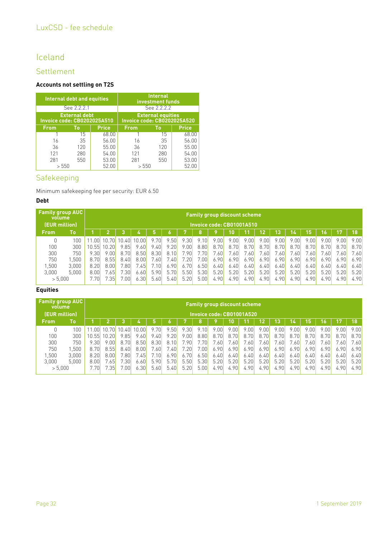# <span id="page-35-0"></span>Iceland

## Settlement

#### **Accounts not settling on T2S**

|                             | Internal debt and equities |              |                                    | <b>Internal</b><br>investment funds |              |
|-----------------------------|----------------------------|--------------|------------------------------------|-------------------------------------|--------------|
|                             | See 2.2.2.1                |              |                                    | See 2.2.2.2                         |              |
| Invoice code: CB0202025A510 | <b>External debt</b>       |              | <b>Invoice code: CB0202025A520</b> | <b>External equities</b>            |              |
| <b>From</b>                 | Τo                         | <b>Price</b> | <b>From</b>                        | Τo                                  | <b>Price</b> |
|                             | 15                         | 68.00        |                                    | 15                                  | 68.00        |
| 16                          | 35                         | 56.00        | 16                                 | 35                                  | 56.00        |
| 36                          | 120                        | 55.00        | 36                                 | 120                                 | 55.00        |
| 121                         | 280                        | 54.00        | 121                                | 280                                 | 54.00        |
| 281                         | 550                        | 53.00        | 281                                | 550                                 | 53.00        |
| >550                        |                            | 52.00        | >550                               |                                     | 52.00        |

## Safekeeping

Minimum safekeeping fee per security: EUR 6.50

#### **Debt**

| <b>Family group AUC</b><br>volume |       |                   |        |       |       |       |      |      |      |       | <b>Family group discount scheme</b> |      |      |       |       |       |                   |      |      |
|-----------------------------------|-------|-------------------|--------|-------|-------|-------|------|------|------|-------|-------------------------------------|------|------|-------|-------|-------|-------------------|------|------|
| (EUR million)                     |       |                   |        |       |       |       |      |      |      |       | Invoice code: CB01001A510           |      |      |       |       |       |                   |      |      |
| <b>From</b>                       | To    |                   |        |       |       |       | о    |      | o    |       | 10                                  |      | 12   | 13    |       | 15    | 16                | 47   | 18   |
|                                   | 100   | 100               | 10.70L | .401  | .001  | 9 70  | 9.50 | 9.30 | 9.10 | 9.00  | 9.00                                | 9.00 | 9.00 | 9.00  | 9.00  | 9.00  | 9.00              | 9.00 | 9.00 |
| 100                               | 300   | 10.55             | 10.20  | 9.85  | 9.60  | 9.40  | 9.20 | 9.00 | 8.80 | 8.70  | 8.70                                | 8.70 | 8.70 | 8.70  | 8.70  | 8.70  | 8.70              | 8.70 | 8.70 |
| 300                               | 750   | 9.30              | 9.00   | 8.70  | 8.50  | 8.30  | 8.10 | 7.90 | 7.70 | 7.601 | 7.60                                | 7.60 | 7.60 | 7.601 | 7.60I | 7.60  | 7.60 <sub>1</sub> | 7.60 | 7.60 |
| 750                               | 1.500 | 8.70              | 8.55   | 8.40  | 8.00  | '.601 | 7.40 | 7.20 | 7.00 | 6.90  | 6.90                                | 6.90 | 6.90 | 6.90  | 6.90  | 6.90  | 6.90              | 6.90 | 6.90 |
| .500                              | 3.000 | 8.20              | 8.00   | 7.801 | 7.45I | 7.10  | 6.90 | 6.70 | 6.50 | 6.40  | 6.40                                | 6.40 | 6.40 | 6.40  | 6.40  | 6.401 | 6.40              | 6.40 | 6.40 |
| 3.000                             | 5.000 | 8.00 <sup>1</sup> | 7.65   | 7.30  | 6.60  | 5.90  | 5.70 | 5.50 | 5.30 | 5.20  | 5.20                                | 5.20 | 5.20 | 5.20  | 5.20  | 5.20  | 5.20              | 5.20 | 5.20 |
| > 5,000                           |       | '.701             | '.351  | 00.   | 6.30  | 5.60  | 5.40 | 5.20 | 5.00 | 4.90  | 4.90                                | 4.90 | 4.90 | 4.90  | 4.90  | 4.90  | 4.90              | 4.90 | 4.90 |

#### **Equities**

| <b>Family group AUC</b><br>volume |       |      |                                 |                   |      |       |      |      |      |       | <b>Family group discount scheme</b> |       |      |       |      |      |       |       |                   |
|-----------------------------------|-------|------|---------------------------------|-------------------|------|-------|------|------|------|-------|-------------------------------------|-------|------|-------|------|------|-------|-------|-------------------|
| (EUR million)                     |       |      |                                 |                   |      |       |      |      |      |       | Invoice code: CB01001A520           |       |      |       |      |      |       |       |                   |
| From                              | To    |      | V 2<br>13<br>11<br>5<br>10<br>6 |                   |      |       |      |      |      |       |                                     |       |      |       |      | 7    | 18    |       |                   |
| 0                                 | 100   | nol  | 10 70L                          | 401               | 0.00 | 9.70  | 9.50 | 9.30 | 9.10 | 9.00  | 9.00                                | 9.00  | 9.00 | 9.00  | 9.00 | 9.00 | 9.00  | 9.00  | 9.00              |
| 100                               | 300   |      | 10.55 10.20                     | 9.85              | 9.60 | 9.40  | 9.20 | 9.00 | 8.80 | 8.70  | 8.70                                | 8.70  | 8.70 | 8.70  | 8.70 | 8.70 | 8.70  | 8.70  | 8.70              |
| 300                               | 750   | 9.30 | 9.00                            | 8.70              | 8.50 | 8.30  | 8.10 | 7.90 | 7.70 | 7.60l | 7.60                                | 7.601 | 7.60 | 7.60I | .60  | 7.60 | 7.601 | 7.601 | 7.60 <sub>1</sub> |
| 750                               | 1.500 | 8.70 | 8.55                            | 8.40              | 8.00 | 7.601 | 7.40 | 7.20 | 7.00 | 6.90  | 6.90                                | 6.90  | 6.90 | 6.90  | 6.90 | 6.90 | 6.90  | 6.90  | 6.90              |
| .500                              | 3.000 | 8.20 | 8.00 <sub>l</sub>               | 7.80              | 7.45 | 7.10  | 6.90 | 6.70 | 6.50 | 6.40  | 6.40                                | 6.40  | 6.40 | 6.40  | 6.40 | 6.40 | 6.40  | 6.40  | 6.40              |
| 3.000                             | 5.000 | 8.00 | 7.65                            | 7.30              | 6.60 | 5.90  | 5.70 | 5.50 | 5.30 | 5.20  | 5.20                                | 5.20  | 5.20 | 5.20  | 5.20 | 5.20 | 5.20  | 5.20  | 5.20              |
| > 5.000                           |       | 7.70 | .35 <sub>l</sub>                | 7.00 <sub>1</sub> | 6.30 | 5.60  | 5.40 | 5.20 | 5.00 | 4.90  | 4.90                                | 4.90  | 4.90 | 4.90  | 4.90 | 4.90 | 4.90  | 4.90  | 4.90              |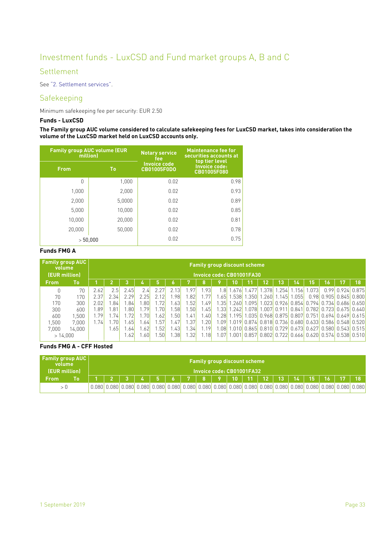# <span id="page-36-0"></span>Investment funds - LuxCSD and Fund market groups A, B and C

#### Settlement

[See "2. Settlement services".](#page-9-4)

#### Safekeeping

Minimum safekeeping fee per security: EUR 2.50

#### **Funds - LuxCSD**

**The Family group AUC volume considered to calculate safekeeping fees for LuxCSD market, takes into consideration the volume of the LuxCSD market held on LuxCSD accounts only.**

| <b>Family group AUC volume (EUR)</b><br>million) |        | <b>Notary service</b><br>fee:      | <b>Maintenance fee for</b><br>securities accounts at<br>top tier level |
|--------------------------------------------------|--------|------------------------------------|------------------------------------------------------------------------|
| <b>From</b>                                      | To     | Invoice code<br><b>CB01005F0D0</b> | Invoice code:<br>CB01005F080                                           |
| 0                                                | 1,000  | 0.02                               | 0.98                                                                   |
| 1,000                                            | 2,000  | 0.02                               | 0.93                                                                   |
| 2,000                                            | 5.0000 | 0.02                               | 0.89                                                                   |
| 5.000                                            | 10.000 | 0.02                               | 0.85                                                                   |
| 10.000                                           | 20,000 | 0.02                               | 0.81                                                                   |
| 20,000                                           | 50.000 | 0.02                               | 0.78                                                                   |
| > 50.000                                         |        | 0.02                               | 0.75                                                                   |

#### **Funds FMG A**

| <b>Family group AUC</b><br>volume<br>(EUR million) |        |       |      |                  |      |                   |      |       |      |                  |           | <b>Family group discount scheme</b><br>Invoice code: CB01001FA30 |                               |    |             |    |                                                               |       |
|----------------------------------------------------|--------|-------|------|------------------|------|-------------------|------|-------|------|------------------|-----------|------------------------------------------------------------------|-------------------------------|----|-------------|----|---------------------------------------------------------------|-------|
| <b>From</b>                                        | To     |       |      |                  |      |                   | o    |       |      |                  | 10        |                                                                  | 12                            | 13 | 15          | 16 |                                                               | 18    |
|                                                    | 70     | 2.62  | 2.5  | 2.45             | 2.4  | 2.27 <sub>1</sub> | 2.13 | 1.97  | 1.93 | 1.8 <sup>1</sup> | 1.676     |                                                                  | 1.477 1.378 1.254             |    | 1.156 1.073 |    | $0.99$ 0.924                                                  | 0.875 |
| 70                                                 | 170    | 2.37  | 2.34 | 2.29             | 2.25 | 2.12              | .981 | l.82l | 1.77 | .651             |           |                                                                  | 1.538 1.350 1.260 1.145 1.055 |    |             |    | 0.98 0.905 0.845 0.800                                        |       |
| 170                                                | 300    | 2.02  | .84  | 1.84             | .801 | 1.721             | .631 | 1.52  | 1.49 | -351             | $1.260$ 1 |                                                                  |                               |    |             |    | I.095  1.023  0.926  0.854  0.794  0.734  0.686  0.650        |       |
| 300                                                | 600    | .89   | .81  | .80 <sub>1</sub> | .791 | l.70l             | .581 | 1.501 | 1.45 | -331             | $1.242$ 1 |                                                                  |                               |    |             |    | 0.78 1.007 0.911 0.841 0.782 0.723 0.675 0.640                |       |
| 600                                                | 1.500  | .79   | .74  | 1.72             | .701 | 62                | .501 | 1.41  | 1.40 | .28              | $1.195$ 1 |                                                                  |                               |    |             |    | l.035  0.968  0.875  0.807  0.751  0.694  0.649  0.615        |       |
| .500                                               | 7.000  | l 74l | .70  | .65              | .64  | 1.57              | .47  | .37   | 1.20 | .091             |           |                                                                  |                               |    |             |    | <u>1.019 0.874 0.818 0.736 0.680 0.633 0.586 0.548 0.520</u>  |       |
| 7.000                                              | 14.000 |       | .65  | .641             | .62  | .52               | .431 | .34   | 1.19 | .081             |           |                                                                  |                               |    |             |    | 1.010  0.865  0.810  0.729  0.673  0.627  0.580  0.543  0.515 |       |
| >14,000                                            |        |       |      | .62              | .60  | .501              | .381 | .32   | 1.18 |                  | .001      |                                                                  |                               |    |             |    | 0.857 0.802 0.722 0.666 0.620 0.574 0.538 0.510               |       |

#### **Funds FMG A - CFF Hosted**

| <b>Family group AUC</b><br>volume |    |  |  |                                                                                                                         |  | , Family group discount scheme <b>'</b> |  |  |  |  |  |
|-----------------------------------|----|--|--|-------------------------------------------------------------------------------------------------------------------------|--|-----------------------------------------|--|--|--|--|--|
| <b>(EUR million)</b>              |    |  |  |                                                                                                                         |  | Invoice code: CB01001FA32               |  |  |  |  |  |
| <b>From</b>                       | Τo |  |  | 2   3   4   5   6   7   8   9   10   11   12   13   14   15   16   17   18                                              |  |                                         |  |  |  |  |  |
| > 0                               |    |  |  | 0.080 0.080 0.080 0.080 0.080 0.080 0.080 0.080 0.080 0.080 0.080 0.080 0.080 0.080 0.080 0.080 0.080 0.080 0.080 0.080 |  |                                         |  |  |  |  |  |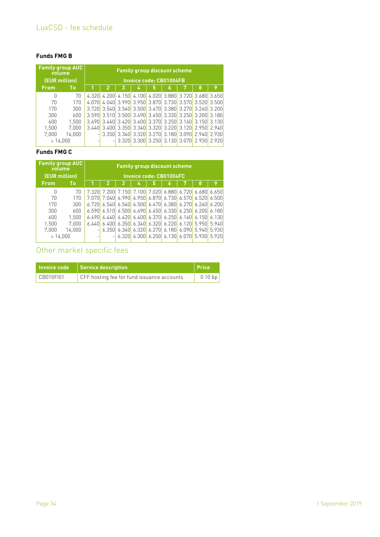#### **Funds FMG B**

|                 | <b>Family group AUC</b><br>volume<br>(EUR million) |  | <b>Family group discount scheme</b> |                                                 |                                     |   |   |  |   |                                                       |  |  |  |  |  |
|-----------------|----------------------------------------------------|--|-------------------------------------|-------------------------------------------------|-------------------------------------|---|---|--|---|-------------------------------------------------------|--|--|--|--|--|
|                 |                                                    |  |                                     |                                                 | <b>Invoice code: CB01004FB</b>      |   |   |  |   |                                                       |  |  |  |  |  |
| <b>From</b>     | To                                                 |  | $\overline{2}$                      | 3                                               | 4                                   | 5 | 6 |  | 8 |                                                       |  |  |  |  |  |
| 0               | 70                                                 |  |                                     |                                                 |                                     |   |   |  |   | 4.320 4.200 4.150 4.100 4.020 3.880 3.720 3.680 3.650 |  |  |  |  |  |
| 70              | 170                                                |  |                                     | 4.070 4.040 3.990 3.950 3.870 3.730 3.570 3.520 |                                     |   |   |  |   | 3.500                                                 |  |  |  |  |  |
| 170             | 300                                                |  |                                     | 3.720 3.540 3.540 3.500 3.470 3.380 3.270 3.240 |                                     |   |   |  |   | 3.200                                                 |  |  |  |  |  |
| 300             | 600                                                |  |                                     | 3.590 3.510 3.500 3.490 3.450 3.330 3.250 3.200 |                                     |   |   |  |   | 3 180                                                 |  |  |  |  |  |
| 600             | 1.500                                              |  |                                     | 3.490 3.440 3.420 3.400 3.370 3.250 3.160 3.150 |                                     |   |   |  |   | -3-130                                                |  |  |  |  |  |
| 7.000<br>1.500  |                                                    |  |                                     | 3.440 3.400 3.350 3.340 3.320 3.220 3.120 2.950 |                                     |   |   |  |   | 2940                                                  |  |  |  |  |  |
| 7.000<br>14.000 |                                                    |  |                                     | 3.350 3.340 3.320 3.270 3.180 3.090 2.940       |                                     |   |   |  |   | 2930                                                  |  |  |  |  |  |
| >14.000         |                                                    |  |                                     |                                                 | 3.320 3.300 3.250 3.130 3.070 2.930 |   |   |  |   | 2920                                                  |  |  |  |  |  |

#### **Funds FMG C**

| <b>Family group AUC</b><br>volume |       | <b>Family group discount scheme</b> |             |        |   |   |                                           |  |   |                                           |  |  |  |  |
|-----------------------------------|-------|-------------------------------------|-------------|--------|---|---|-------------------------------------------|--|---|-------------------------------------------|--|--|--|--|
| (EUR million)                     |       |                                     |             |        |   |   | <b>Invoice code: CB01004FC</b>            |  |   |                                           |  |  |  |  |
| <b>From</b>                       | Τo    |                                     | 2           | в      | 4 | 5 | 6                                         |  | 8 |                                           |  |  |  |  |
| O                                 | 70    |                                     | 7.320 7.200 |        |   |   |                                           |  |   | 7.150 7.100 7.020 6.880 6.720 6.680 6.650 |  |  |  |  |
| 70                                | 170   |                                     | 7.070 7.040 |        |   |   | 6.990 6.950 6.870 6.730 6.570 6.520       |  |   | 6.500                                     |  |  |  |  |
| 170                               | 300   |                                     | 6.720 6.540 |        |   |   |                                           |  |   | 6.540 6.500 6.470 6.380 6.270 6.240 6.200 |  |  |  |  |
| 300                               | 600   | 6.590                               | 6.510       |        |   |   | 6.500 6.490 6.450 6.330 6.250 6.200 6.180 |  |   |                                           |  |  |  |  |
| 600                               | 1.500 | 6490                                | 6.440       |        |   |   | 6.420 6.400 6.370 6.250 6.160 6.150 6.130 |  |   |                                           |  |  |  |  |
| 1.500<br>7.000                    |       | 6.440                               | 6.400       |        |   |   | 6.350 6.340 6.320 6.220 6.120 5.950 5.940 |  |   |                                           |  |  |  |  |
| 7.000<br>14.000                   |       |                                     | 6.350L      | 6.340  |   |   | 6.320 6.270 6.180 6.090 5.940 5.930       |  |   |                                           |  |  |  |  |
| >14.000                           |       |                                     |             | 6.3201 |   |   | 6.300 6.250 6.130 6.070 5.930             |  |   | 5920                                      |  |  |  |  |

| <b>Invoice code</b> | Service description                        | l Price <sup>1</sup> |
|---------------------|--------------------------------------------|----------------------|
| ICB010F101          | CFF hosting fee for fund issuance accounts | $0.10 b$ p           |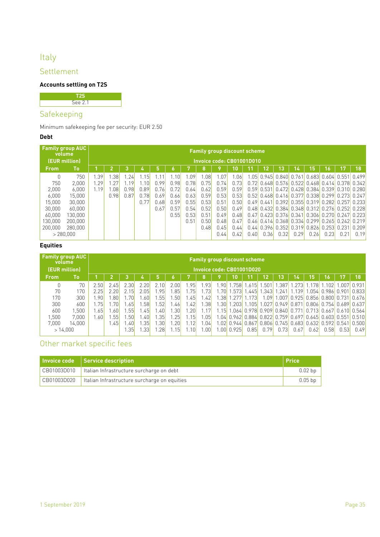# <span id="page-38-0"></span>Italy

## Settlement

#### **Accounts settling on T2S**

**T2S**  See [2.1](#page-9-3)

## Safekeeping

Minimum safekeeping fee per security: EUR 2.50

#### **Debt**

|             | <b>Family group AUC</b><br><b>Family group discount scheme</b><br>volume |                      |                   |      |      |      |      |      |      |      |                           |      |      |      |      |      |                                                |      |       |
|-------------|--------------------------------------------------------------------------|----------------------|-------------------|------|------|------|------|------|------|------|---------------------------|------|------|------|------|------|------------------------------------------------|------|-------|
|             | (EUR million)                                                            |                      |                   |      |      |      |      |      |      |      | Invoice code: CB01001D010 |      |      |      |      |      |                                                |      |       |
| <b>From</b> | Τo                                                                       |                      |                   |      |      |      | O    |      | o    |      | 10                        |      | 12   | 13   | 14   | 15   | 16                                             | 17   | 18    |
|             | 750                                                                      | .39                  | $\vert .38 \vert$ | .24  | 1.15 |      | 1.10 | .09  | 0.08 | 1.07 | 1.06                      |      |      |      |      |      | 1.05 0.945 0.840 0.761 0.683 0.604 0.551 0.499 |      |       |
| 750         | 2.000                                                                    | .29                  | 1.27              | 19   | 1.10 | 0.99 | 0.98 | 0.78 | 0.75 | 0.74 | 0.73                      |      |      |      |      |      | 0.72 0.648 0.576 0.522 0.468 0.414 0.378 0.342 |      |       |
| 2,000       | 6.000                                                                    | $\left  .19 \right $ | 1.081             | 0.98 | 0.89 | 0.76 | 0.72 | 0.64 | 0.62 | 0.59 | 0.59                      |      |      |      |      |      | 0.59 0.531 0.472 0.428 0.384 0.339 0.310 0.280 |      |       |
| 6,000       | 15,000                                                                   |                      | 0.98              | 0.87 | 0.78 | 0.69 | 0.66 | 0.63 | 0.59 | 0.53 | 0.53                      |      |      |      |      |      | 0.52 0.468 0.416 0.377 0.338 0.299 0.273 0.247 |      |       |
| 15,000      | 30,000                                                                   |                      |                   |      | 0.77 | 0.68 | 0.59 | 0.55 | 0.53 | 0.51 | 0.50                      |      |      |      |      |      | 0.49 0.441 0.392 0.355 0.319 0.282 0.257 0.233 |      |       |
| 30,000      | 60,000                                                                   |                      |                   |      |      | 0.67 | 0.57 | 0.54 | 0.52 | 0.50 | 049                       |      |      |      |      |      | 0.48 0.432 0.384 0.348 0.312 0.276 0.252 0.228 |      |       |
| 60,000      | 130.000                                                                  |                      |                   |      |      |      | 0.55 | 0.53 | 0.51 | 0.49 | 0.48                      |      |      |      |      |      | 0.47 0.423 0.376 0.341 0.306 0.270 0.247 0.223 |      |       |
| 130.000     | 200,000                                                                  |                      |                   |      |      |      |      | 0.51 | 0.50 | 0.48 | 0.47                      |      |      |      |      |      | 0.46 0.414 0.368 0.334 0.299 0.265 0.242 0.219 |      |       |
| 200,000     | 280,000                                                                  |                      |                   |      |      |      |      |      | 0.48 | 0.45 | 0.44                      |      |      |      |      |      | 0.44 0.396 0.352 0.319 0.826 0.253 0.231       |      | በ 209 |
|             | > 280.000                                                                |                      |                   |      |      |      |      |      |      | 0.44 | 0.42                      | 0.40 | 0.36 | 0.32 | 0.29 | 0.26 | 0.23                                           | 0.21 | 0.19  |

#### **Equities**

| <b>Family group AUC</b><br>volume |        |       |                                                                                                                                                                                              |       |                  |         |                   |       | <b>Family group discount scheme</b> |       |       |       |                 |             |   |                |      |                                                                     |           |
|-----------------------------------|--------|-------|----------------------------------------------------------------------------------------------------------------------------------------------------------------------------------------------|-------|------------------|---------|-------------------|-------|-------------------------------------|-------|-------|-------|-----------------|-------------|---|----------------|------|---------------------------------------------------------------------|-----------|
| (EUR million)                     |        |       |                                                                                                                                                                                              |       |                  |         |                   |       | Invoice code: CB01001D020           |       |       |       |                 |             |   |                |      |                                                                     |           |
| <b>From</b>                       | To     |       |                                                                                                                                                                                              |       |                  |         |                   |       |                                     |       | 10    | -11   | 12 <sup>2</sup> | 13          | 4 | 15             | 6    |                                                                     | 18        |
|                                   | 70     | 2.50  | 2.45                                                                                                                                                                                         | 2.30  | 2.20             | 2 1 0 I | 2.00              | .95   | 1.93                                |       |       | 1.615 | 1.501           | $.387$   1. |   | $.273$ 1.178 1 | .102 |                                                                     | 007 0 931 |
| 70                                | 170    | 2.251 |                                                                                                                                                                                              | 2 15  | 2.05             | - 951   | .85 <sub>1</sub>  | .75   | .731                                | . 701 | 1.573 | 1.445 |                 |             |   |                |      | I.343  1.241  1.139  1.054  0.986  0.901  0.833                     |           |
| 170                               | 300    | .901  | .80                                                                                                                                                                                          | 1.701 | .601             | 1.551   | 1.50              | .45   | .42                                 | .381  | 1.277 | 1.173 |                 |             |   |                |      | 1.09  1.007  0.925  0.856  0.800  0.731  0.676                      |           |
| 300                               | 600    | .751  |                                                                                                                                                                                              | .651  | .581             | 1.52    | 1.461             | .42   | $-.38$                              |       |       |       |                 |             |   |                |      | 1.30  1.203  1.105  1.027  0.949  0.871  0.806  0.754  0.689  0.637 |           |
| 600                               | 1.500  | .651  | .60                                                                                                                                                                                          | .55   | .451             | l 40l   | 1.30 <sup>l</sup> | - 201 | 1.17                                | 1.15  |       |       |                 |             |   |                |      | 1.064 0.978 0.909 0.840 0.771 0.713 0.667 0.610 0.564               |           |
| .500                              | 7.000  | 1.601 | .55'                                                                                                                                                                                         | - 501 | .401             | L35I    | 1.25              | .15   | 1.051                               |       |       |       |                 |             |   |                |      | 1.04  0.962  0.884  0.822  0.759  0.697  0.645  0.603  0.551  0.510 |           |
| 7,000                             | 14.000 |       | .451                                                                                                                                                                                         | - 40  | .35 <sub>l</sub> | -301    | 1.20              | .12   | 1.041                               |       |       |       |                 |             |   |                |      |                                                                     |           |
| >14.000                           |        |       | 1.02  0.944  0.867  0.806  0.745  0.683  0.632  0.592  0.541  0.500 <br>0.79<br>.35 <sub>1</sub><br>.331<br>.00 0.925 <br>0.85<br>0.73<br>0.58<br>0.53<br>.281<br>.00<br>0.67<br>0.62<br>-10 |       |                  |         |                   |       |                                     |       |       |       |                 | 0.49        |   |                |      |                                                                     |           |

| $\mid$ Invoice code $\mid$ Service description             | l Price <sup>1</sup> |
|------------------------------------------------------------|----------------------|
| CB01003D010   Italian Infrastructure surcharge on debt     | $0.02$ bp            |
| CB01003D020   Italian Infrastructure surcharge on equities | $0.05$ bp            |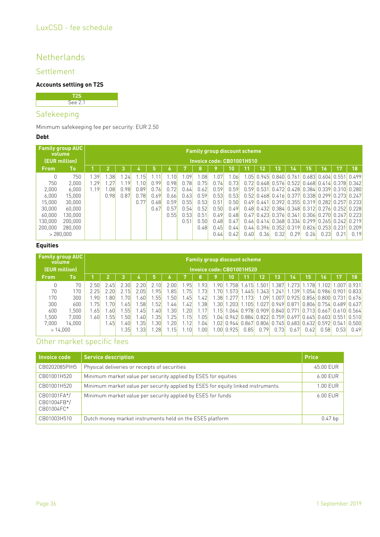## <span id="page-39-0"></span>**Netherlands**

## Settlement

#### **Accounts settling on T2S**

**T2S**  See [2.1](#page-9-3)

## Safekeeping

Minimum safekeeping fee per security: EUR 2.50

#### **Debt**

|             | <b>Family group AUC</b><br>volume |       |      |      |       |      |      |      |      | <b>Family group discount scheme</b> |      |      |                |      |      |                                                       |             |      |       |
|-------------|-----------------------------------|-------|------|------|-------|------|------|------|------|-------------------------------------|------|------|----------------|------|------|-------------------------------------------------------|-------------|------|-------|
|             | (EUR million)                     |       |      |      |       |      |      |      |      | Invoice code: CB01001H510           |      |      |                |      |      |                                                       |             |      |       |
| <b>From</b> | Τo                                |       |      |      |       | 5    | ľ.   |      |      |                                     |      |      | $\overline{2}$ | 3    | 4    | 15                                                    | 16          | 17   | 18    |
| 0           | 750                               | .39   | .381 | 1.24 | 151   |      | 1.10 | .09  | .081 | 1.07                                | .06  |      |                |      |      | <u>1.05 0.945 0.840 0.761 0.683 0.604 0.551 0.499</u> |             |      |       |
| 750         | 2.000                             | .29   | . 27 | 1.19 | 1.10I | 0.99 | 0.98 | 0.78 | 0.75 | 0.74                                | 0.73 | 0.72 |                |      |      | 0.648 0.576 0.522 0.468 0.414 0.378 0.342             |             |      |       |
| 2.000       | 6.000                             | 1.191 | .08  | 0.98 | 0.89  | 0.76 | 0.72 | 0.64 | 0.62 | 0.59                                | 0.59 |      |                |      |      | 0.59 0.531 0.472 0.428 0.384 0.339 0.310 0.280        |             |      |       |
| 6,000       | 15,000                            |       | 0.98 | 0.87 | 0.78  | 0.69 | 0.66 | 0.63 | 0.59 | 0.53                                | 0.53 |      |                |      |      | 0.52 0.468 0.416 0.377 0.338 0.299 0.273 0.247        |             |      |       |
| 15.000      | 30,000                            |       |      |      | 0.77  | 0.68 | 0.59 | 0.55 | 0.53 | 0.51                                | 0.50 |      |                |      |      | 0.49 0.441 0.392 0.355 0.319 0.282 0.257 0.233        |             |      |       |
| 30,000      | 60.000                            |       |      |      |       | 0.67 | 0.57 | 0.54 | 0.52 | 0.50                                | 0.49 |      |                |      |      | 0.48 0.432 0.384 0.348 0.312 0.276 0.252 0.228        |             |      |       |
| 60,000      | 130.000                           |       |      |      |       |      | 0.55 | 0.53 | 0.51 | 0.49                                | 0.48 |      |                |      |      | 0.47 0.423 0.376 0.341 0.306 0.270 0.247 0.223        |             |      |       |
| 130.000     | 200,000                           |       |      |      |       |      |      | 0.51 | 0.50 | 0.48                                | 0.47 |      |                |      |      | 0.46 0.414 0.368 0.334 0.299 0.265 0.242 0.219        |             |      |       |
| 200,000     | 280,000                           |       |      |      |       |      |      |      | 0.48 | 0.45                                | 0.44 | 0.44 |                |      |      | 0.396 0.352 0.319 0.826                               | 0.253 0.231 |      | 0.209 |
|             | > 280.000                         |       |      |      |       |      |      |      |      | 0.44                                | 0.42 | 0.40 | 0.36           | 0.32 | 0.29 | 0.26                                                  | 0.23        | 0.21 | 0.19  |

#### **Equities**

| <b>Family group AUC</b><br>volume |        |                  |      |       |                  |       |      |       |                  | <b>Family group discount scheme</b> |              |                  |             |      |             |      |                              |                                                            |               |
|-----------------------------------|--------|------------------|------|-------|------------------|-------|------|-------|------------------|-------------------------------------|--------------|------------------|-------------|------|-------------|------|------------------------------|------------------------------------------------------------|---------------|
| (EUR million)                     |        |                  |      |       |                  |       |      |       |                  | Invoice code: CB01001H520           |              |                  |             |      |             |      |                              |                                                            |               |
| <b>From</b>                       | To     |                  |      |       |                  |       |      |       |                  |                                     |              |                  |             | 13   | ъ.          | 15   | 16                           |                                                            | 18            |
|                                   | 70     | 2.50             | 2.45 | 2.30  | 2.20             | 2.10  | 2.00 | 1.95  | .93              |                                     |              | 1.90 1.758 1.615 | $1.501$   1 |      | 387 1.273 1 |      | 1 102 1.102 n <sup>178</sup> |                                                            | $0.007$ 0.931 |
| 70                                | 170    | 2.251            |      | 2.151 | 2.05             | 1.951 | .851 | 1.75  | .73              |                                     | 1.70 1.573 1 | .445             | $1.343$ 1   |      |             |      |                              | .241 1.139 1.054 0.986 0.901 0.833                         |               |
| 170                               | 300    | .90 <sub>1</sub> | .801 | l 701 | .601             | 1.551 | .501 | 1.451 | .42              |                                     |              | 1.38 1.277 1.173 | 1.09        |      |             |      |                              | 1.007 0.925 0.856 0.800 0.731 0.676                        |               |
| 300                               | 600    | 75               |      | .651  | .581             | 1.521 | .461 | 1.42  | .38 <sup>1</sup> |                                     |              |                  |             |      |             |      |                              | 1.30 1.203 1.105 1.027 0.949 0.871 0.806 0.754 0.689 0.637 |               |
| 600                               | 1.500  | .65              | .601 | .551  | .451             | 1.401 | .301 | 120   | 17I              |                                     |              |                  |             |      |             |      |                              | 1.15 1.064 0.978 0.909 0.840 0.771 0.713 0.667 0.610 0.564 |               |
| 500. ا                            | 7.000  | .601             | .551 | -501  | .401             | l 351 | .251 | 1.15  | .05 <sub>l</sub> |                                     |              |                  |             |      |             |      |                              | 1.04 0.962 0.884 0.822 0.759 0.697 0.645 0.603 0.551 0.510 |               |
| 7.000                             | 14.000 |                  | .451 | .40   | .351             | L30I  | .201 | 1 12I | .04              |                                     |              |                  |             |      |             |      |                              | 1.02 0.944 0.867 0.806 0.745 0.683 0.632 0.592 0.541 0.500 |               |
| >14.000                           |        |                  |      | .351  | .33 <sub>l</sub> | .281  |      |       | .001             |                                     | 1.00 0.925   | 0.85             | 0.79        | 0.73 | 0.67        | 0.62 | 0.58                         | 0.53                                                       | 0.49          |

| Invoice code                             | <b>Service description</b>                                                      | <b>Price</b> |
|------------------------------------------|---------------------------------------------------------------------------------|--------------|
| CB0202085PIH5                            | Physical deliveries or receipts of securities                                   | 45.00 EUR    |
| CB01001H520                              | Minimum market value per security applied by ESES for equities                  | 6.00 EUR     |
| CB01001H520                              | Minimum market value per security applied by ESES for equity linked instruments | 1.00 EUR     |
| CB01001FA*/<br>CB01004FB*/<br>CB01004FC* | Minimum market value per security applied by ESES for funds                     | 6.00 EUR     |
| CB01003H510                              | Dutch money market instruments held on the ESES platform                        | $0.47$ bp    |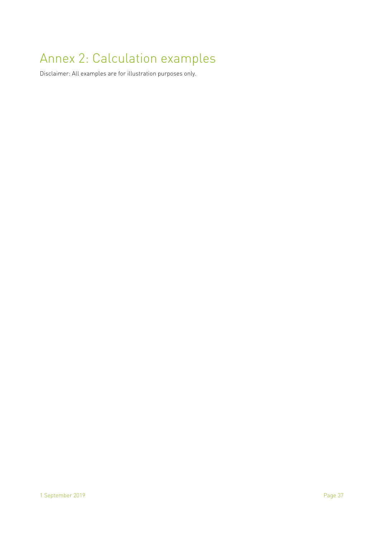# <span id="page-40-1"></span><span id="page-40-0"></span>Annex 2: Calculation examples

Disclaimer: All examples are for illustration purposes only.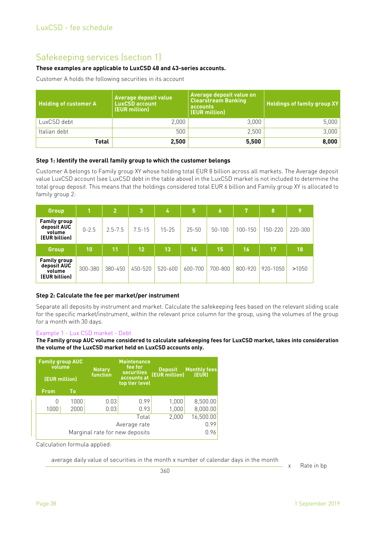## <span id="page-41-0"></span>Safekeeping services (section 1)

#### **These examples are applicable to LuxCSD 48 and 43-series accounts.**

Customer A holds the following securities in its account

| <b>Holding of customer A</b> | <b>Average deposit value</b><br><b>LuxCSD account</b><br>(EUR million) | Average deposit value on<br><b>Clearstream Banking</b><br>accounts<br>(EUR million) | <b>Holdings of family group XY</b> |
|------------------------------|------------------------------------------------------------------------|-------------------------------------------------------------------------------------|------------------------------------|
| LuxCSD debt                  | 2.000                                                                  | 3.000                                                                               | 5,000                              |
| Italian debt                 | 500                                                                    | 2,500                                                                               | 3,000                              |
| <b>Total</b>                 | 2,500                                                                  | 5,500                                                                               | 8,000                              |

#### **Step 1: Identify the overall family group to which the customer belongs**

Customer A belongs to Family group XY whose holding total EUR 8 billion across all markets. The Average deposit value LuxCSD account (see LuxCSD debt in the table above) in the LuxCSD market is not included to determine the total group deposit. This means that the holdings considered total EUR 6 billion and Family group XY is allocated to family group 2:

| Group                                                               |           | $\overline{2}$ | 3          | 4         | 5         | 6          | 7       | 8        |         |
|---------------------------------------------------------------------|-----------|----------------|------------|-----------|-----------|------------|---------|----------|---------|
| <b>Family group</b><br>deposit AUC<br>volume<br>(EUR billion)       | $0 - 2.5$ | $2.5 - 7.5$    | $7.5 - 15$ | $15 - 25$ | $25 - 50$ | $50 - 100$ | 100-150 | 150-220  | 220-300 |
| Group                                                               | 10        | 11             | 12         | 13        | 14        | 15         | 16      | 17       | 18      |
| <b>Family group</b><br>deposit AUC<br>volume<br><b>EUR billion)</b> | 300-380   | 380-450        | 450-520    | 520-600   | 600-700   | 700-800    | 800-920 | 920-1050 | >1050   |

#### **Step 2: Calculate the fee per market/per instrument**

Separate all deposits by instrument and market. Calculate the safekeeping fees based on the relevant sliding scale for the specific market/instrument, within the relevant price column for the group, using the volumes of the group for a month with 30 days.

#### Example 1 - Lux CSD market - Debt

**The Family group AUC volume considered to calculate safekeeping fees for LuxCSD market, takes into consideration the volume of the LuxCSD market held on LuxCSD accounts only.**

| <b>Family group AUC</b><br>volume<br>(EUR million) |      | <b>Notary</b><br>function | <b>Maintenance</b><br>fee for<br>top tier level | securities Deposit<br>accounts at (EUR million) | Monthly fees<br>  (EUR) |
|----------------------------------------------------|------|---------------------------|-------------------------------------------------|-------------------------------------------------|-------------------------|
| <b>From</b>                                        | To   |                           |                                                 |                                                 |                         |
| O                                                  | 1000 | 0.03                      | 0.99                                            | 1,000                                           | 8,500.00                |
| 1000                                               | 2000 | 0.03                      | 0.93                                            | 1,000                                           | 8,000.00                |
|                                                    |      |                           | Total                                           | 2,000                                           | 16,500.00               |
| Average rate                                       |      |                           |                                                 | 0.99                                            |                         |
| Marginal rate for new deposits                     |      |                           |                                                 |                                                 | 0.96                    |

Calculation formula applied:

average daily value of securities in the month x number of calendar days in the month  $\frac{360}{\sqrt{1-\frac{1}{1-\frac{1}{1-\frac{1}{1-\frac{1}{1-\frac{1}{1-\frac{1}{1-\frac{1}{1-\frac{1}{1-\frac{1}{1-\frac{1}{1-\frac{1}{1-\frac{1}{1-\frac{1}{1-\frac{1}{1-\frac{1}{1-\frac{1}{1-\frac{1}{1-\frac{1}{1-\frac{1}{1-\frac{1}{1-\frac{$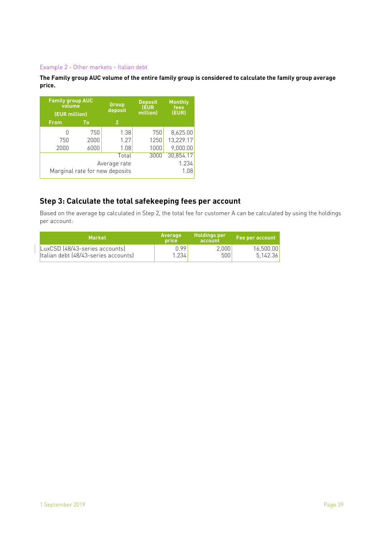#### Example 2 - Other markets - Italian debt

**The Family group AUC volume of the entire family group is considered to calculate the family group average price.**

| <b>Family group AUC</b><br>volume<br>(EUR million) |      | Group<br>deposit | <b>Deposit</b><br><b>IEUR</b><br>million) | <b>Monthly</b><br>fees<br>(EUR) |
|----------------------------------------------------|------|------------------|-------------------------------------------|---------------------------------|
| <b>From</b>                                        | Τo   | $\overline{2}$   |                                           |                                 |
|                                                    | 750  | 1.38             | 750                                       | 8,625.00                        |
| 750                                                | 2000 | 1.27             | 1250                                      | 13,229.17                       |
| 2000                                               | 6000 | 1.08             | 1000                                      | 9,000.00                        |
|                                                    |      | Total            | 3000                                      | 30,854.17                       |
| Average rate                                       |      |                  |                                           | 1.234                           |
| Marginal rate for new deposits                     |      |                  |                                           | 1.08                            |

#### **Step 3: Calculate the total safekeeping fees per account**

Based on the average bp calculated in Step 2, the total fee for customer A can be calculated by using the holdings per account:

| <b>Market</b>                        | Average<br><b>price</b> | Holdings per<br>account | Fee per account |
|--------------------------------------|-------------------------|-------------------------|-----------------|
| LuxCSD (48/43-series accounts)       | N 991                   | 2,000                   | 16.500.00       |
| Italian debt (48/43-series accounts) | 1,2341                  | 500                     | 5.142.36        |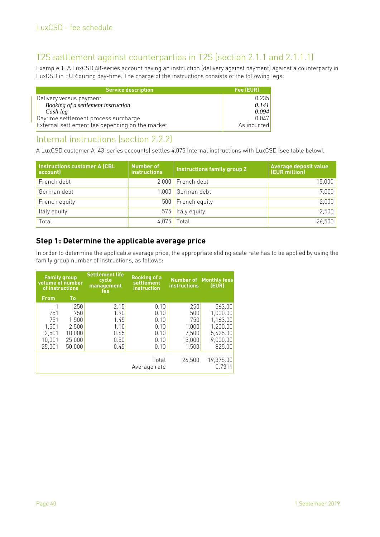## <span id="page-43-0"></span>T2S settlement against counterparties in T2S (section 2.1.1 and 2.1.1.1)

Example 1: A LuxCSD 48-series account having an instruction (delivery against payment) against a counterparty in LuxCSD in EUR during day-time. The charge of the instructions consists of the following legs:

| <b>Service description</b>                      | Fee (EUR)   |
|-------------------------------------------------|-------------|
| Delivery versus payment                         | 0.235       |
| Booking of a settlement instruction             | 0.141       |
| Cash leg                                        | 0.094       |
| Daytime settlement process surcharge            | 0.047       |
| External settlement fee depending on the market | As incurred |

## <span id="page-43-1"></span>Internal instructions (section 2.2.2)

A LuxCSD customer A (43-series accounts) settles 4,075 Internal instructions with LuxCSD (see table below).

| <b>Instructions customer A (CBL)</b><br>account) | <b>Number of</b><br>instructions | Instructions family group Z | <b>Average deposit value</b><br>(EUR million) |
|--------------------------------------------------|----------------------------------|-----------------------------|-----------------------------------------------|
| French debt                                      | 2,000                            | French debt                 | 15,000                                        |
| German debt                                      | 1.000                            | German debt                 | 7,000                                         |
| French equity                                    | 500 <sub>1</sub>                 | French equity               | 2,000                                         |
| Italy equity                                     | 575                              | Italy equity                | 2,500                                         |
| Total                                            | 4.075                            | Total                       | 26,500                                        |

#### **Step 1: Determine the applicable average price**

In order to determine the applicable average price, the appropriate sliding scale rate has to be applied by using the family group number of instructions, as follows:

| <b>Family group</b><br>volume of number<br>of instructions |        | <b>Settlement life</b><br>cycle<br>management<br>fee | <b>Booking of a</b><br>settlement<br><i>instruction</i> | <b>instructions</b> | <b>Number of Monthly fees</b><br>(EUR) |
|------------------------------------------------------------|--------|------------------------------------------------------|---------------------------------------------------------|---------------------|----------------------------------------|
| <b>From</b>                                                | To:    |                                                      |                                                         |                     |                                        |
|                                                            | 250    | 2 15                                                 | 0.10                                                    | 250                 | 563.00                                 |
| 251                                                        | 750    | 1.90                                                 | 0.10                                                    | 500                 | 1,000.00                               |
| 751                                                        | 1,500  | 1.45                                                 | 0.10                                                    | 750                 | 1,163.00                               |
| 1,501                                                      | 2.500  | 1.10                                                 | 0.10                                                    | 1.000               | 1,200.00                               |
| 2.501                                                      | 10,000 | 0.65                                                 | 0.10                                                    | 7,500               | 5,625.00                               |
| 10.001                                                     | 25,000 | 0.50                                                 | 0.10                                                    | 15,000              | 9,000.00                               |
| 25.001                                                     | 50,000 | 0.45                                                 | 0.10                                                    | 1.500               | 825.00                                 |
|                                                            |        |                                                      | Total<br>Average rate                                   | 26.500              | 19,375.00<br>0.7311                    |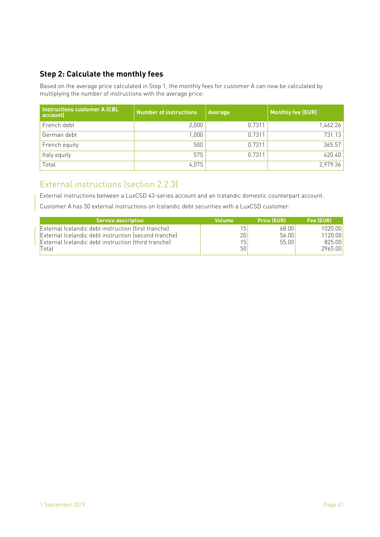## **Step 2: Calculate the monthly fees**

Based on the average price calculated in Step 1, the monthly fees for customer A can now be calculated by multiplying the number of instructions with the average price:

| <b>Instructions customer A (CBL</b><br>account) | <b>Number of instructions</b> | Average | <b>Monthly fee (EUR)</b> |
|-------------------------------------------------|-------------------------------|---------|--------------------------|
| French debt                                     | 2.000                         | 0.7311  | 1,462.26                 |
| German debt                                     | 1.000                         | 0.7311  | 731.13                   |
| French equity                                   | 500                           | 0.7311  | 365.57                   |
| Italy equity                                    | 575                           | 0.7311  | 420.40                   |
| Total                                           | 4,075                         |         | 2,979.36                 |

## <span id="page-44-0"></span>External instructions (section 2.2.3)

External instructions between a LuxCSD 43-series account and an Icelandic domestic counterpart account.

Customer A has 50 external instructions on Icelandic debt securities with a LuxCSD customer:

| <b>Service description</b>                                  | <b>Volume</b>   | <b>Price (EUR)</b> | Fee (EUR) |
|-------------------------------------------------------------|-----------------|--------------------|-----------|
| <b>External Icelandic debt instruction (first tranche)</b>  | 15 <sub>1</sub> | 68.00              | 1020.00   |
| <b>External Icelandic debt instruction (second tranche)</b> | 20              | 56.00              | 1120.001  |
| <b>External Icelandic debt instruction (third tranche)</b>  | 15              | 5500               | 825.00    |
| 'Total                                                      | 50              |                    | 2965.00   |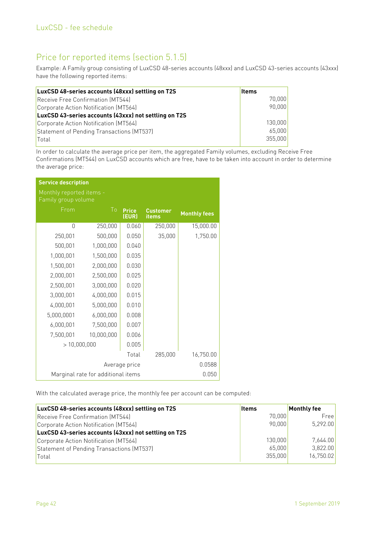# <span id="page-45-0"></span>Price for reported items (section 5.1.5)

Example: A Family group consisting of LuxCSD 48-series accounts (48xxx) and LuxCSD 43-series accounts (43xxx) have the following reported items:

| LuxCSD 48-series accounts (48xxx) settling on T2S     | <b>Items</b> |
|-------------------------------------------------------|--------------|
| Receive Free Confirmation (MT544)                     | 70,000       |
| Corporate Action Notification (MT564)                 | 90.000       |
| LuxCSD 43-series accounts (43xxx) not settling on T2S |              |
| Corporate Action Notification (MT564)                 | 130,000      |
| Statement of Pending Transactions (MT537)             | 65,000       |
| Total                                                 | 355,000      |

In order to calculate the average price per item, the aggregated Family volumes, excluding Receive Free Confirmations (MT544) on LuxCSD accounts which are free, have to be taken into account in order to determine the average price:

| <b>Service description</b>                      |                                    |                       |                                 |                     |
|-------------------------------------------------|------------------------------------|-----------------------|---------------------------------|---------------------|
| Monthly reported items -<br>Family group volume |                                    |                       |                                 |                     |
| From                                            | Τo                                 | <b>Price</b><br>(EUR) | <b>Customer</b><br><b>items</b> | <b>Monthly fees</b> |
| $\Omega$                                        | 250,000                            | 0.060                 | 250,000                         | 15,000.00           |
| 250,001                                         | 500,000                            | 0.050                 | 35,000                          | 1,750.00            |
| 500,001                                         | 1,000,000                          | 0.040                 |                                 |                     |
| 1,000,001                                       | 1,500,000                          | 0.035                 |                                 |                     |
| 1,500,001                                       | 2,000,000                          | 0.030                 |                                 |                     |
| 2,000,001                                       | 2,500,000                          | 0.025                 |                                 |                     |
| 2,500,001                                       | 3,000,000                          | 0.020                 |                                 |                     |
| 3,000,001                                       | 4,000,000                          | 0.015                 |                                 |                     |
| 4,000,001                                       | 5,000,000                          | 0.010                 |                                 |                     |
| 5,000,0001                                      | 6,000,000                          | 0.008                 |                                 |                     |
| 6,000,001                                       | 7,500,000                          | 0.007                 |                                 |                     |
| 7,500,001                                       | 10,000,000                         | 0.006                 |                                 |                     |
| >10,000,000                                     |                                    | 0.005                 |                                 |                     |
|                                                 |                                    | Total                 | 285,000                         | 16,750.00           |
|                                                 |                                    | Average price         |                                 | 0.0588              |
|                                                 | Marginal rate for additional items |                       |                                 | 0.050               |

With the calculated average price, the monthly fee per account can be computed:

| LuxCSD 48-series accounts (48xxx) settling on T2S     | <b>Items</b> | <b>Monthly fee</b> |
|-------------------------------------------------------|--------------|--------------------|
| Receive Free Confirmation (MT544)                     | 70.000       | Free               |
| Corporate Action Notification (MT564)                 | 90.000       | 5,292.00           |
| LuxCSD 43-series accounts (43xxx) not settling on T2S |              |                    |
| Corporate Action Notification (MT564)                 | 130,000      | 7,644.00           |
| Statement of Pending Transactions (MT537)             | 65,000       | 3,822.00           |
| 'Total                                                | 355,000      | 16,750.02          |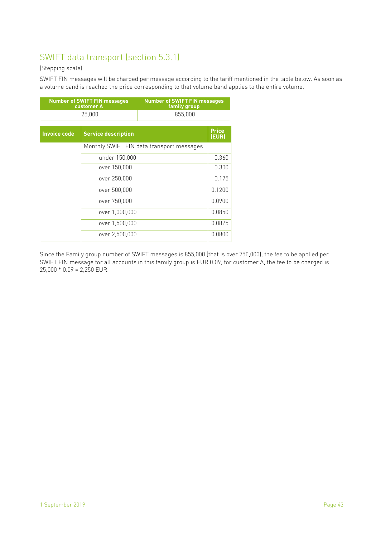# <span id="page-46-0"></span>SWIFT data transport (section 5.3.1)

#### (Stepping scale)

SWIFT FIN messages will be charged per message according to the tariff mentioned in the table below. As soon as a volume band is reached the price corresponding to that volume band applies to the entire volume.

| <b>Number of SWIFT FIN messages</b><br>customer A |                            | <b>Number of SWIFT FIN messages</b><br>family group |                       |  |
|---------------------------------------------------|----------------------------|-----------------------------------------------------|-----------------------|--|
|                                                   | 25,000<br>855,000          |                                                     |                       |  |
| <b>Invoice code</b>                               | <b>Service description</b> |                                                     | <b>Price</b><br>(EUR) |  |
|                                                   |                            | Monthly SWIFT FIN data transport messages           |                       |  |
|                                                   | under 150,000              |                                                     | 0.360                 |  |
|                                                   | over 150,000               |                                                     |                       |  |
|                                                   | over 250,000               |                                                     |                       |  |
|                                                   | over 500,000               |                                                     | 0.1200                |  |
|                                                   | over 750,000               |                                                     | 0.0900                |  |
|                                                   | over 1,000,000             |                                                     | 0.0850                |  |
|                                                   | over 1,500,000             |                                                     | 0.0825                |  |
|                                                   | over 2,500,000             |                                                     | 0.0800                |  |

Since the Family group number of SWIFT messages is 855,000 (that is over 750,000), the fee to be applied per SWIFT FIN message for all accounts in this family group is EUR 0.09, for customer A, the fee to be charged is 25,000 \* 0.09 = 2,250 EUR.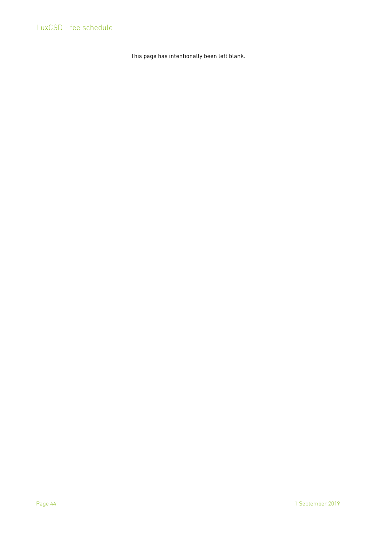#### LuxCSD - fee schedule

This page has intentionally been left blank.